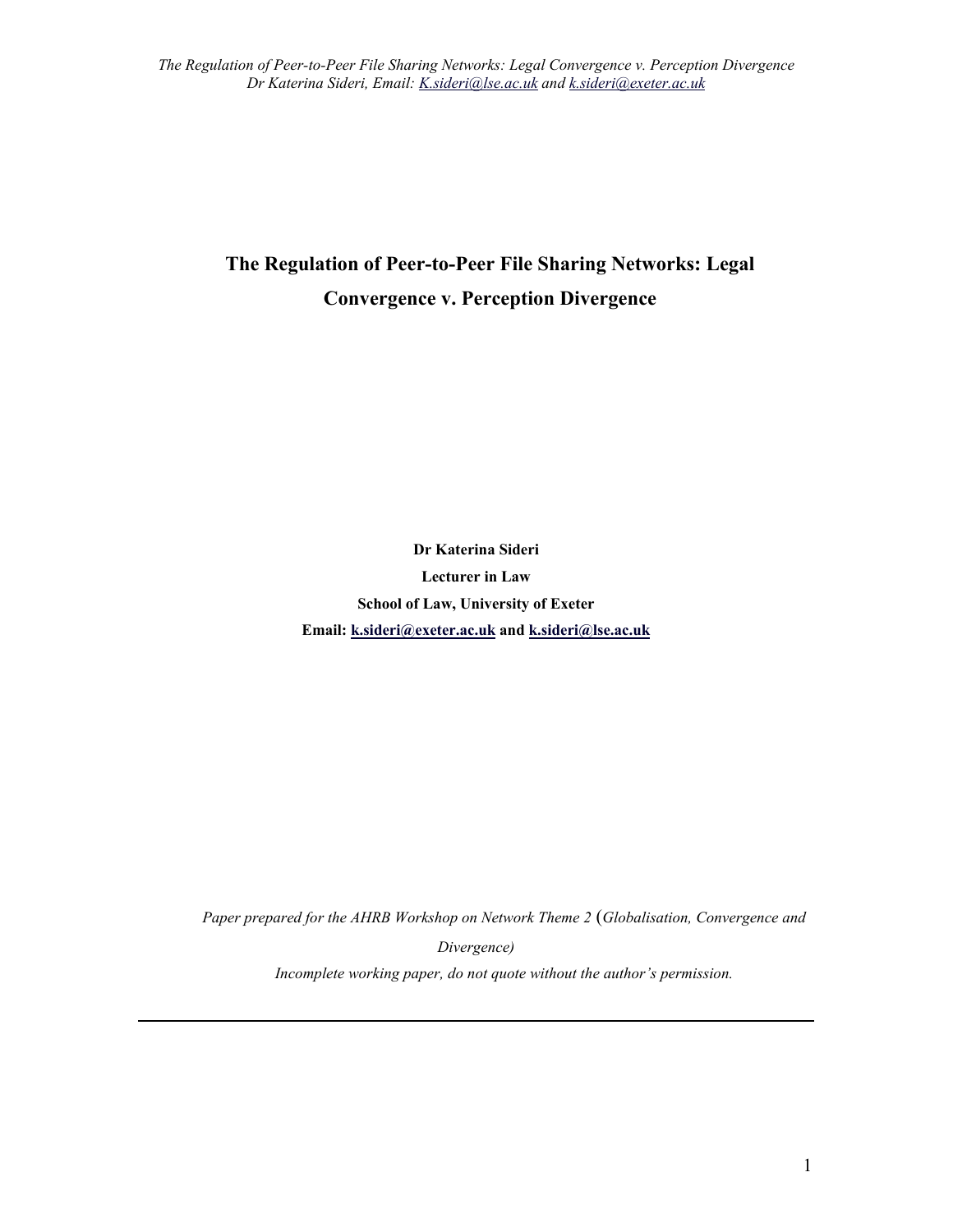# **The Regulation of Peer-to-Peer File Sharing Networks: Legal Convergence v. Perception Divergence**

**Dr Katerina Sideri Lecturer in Law School of Law, University of Exeter Email: [k.sideri@exeter.ac.uk](mailto:k.sideri@exeter.ac.uk) and [k.sideri@lse.ac.uk](mailto:k.sideri@lse.ac.uk)**

*Paper prepared for the AHRB Workshop on Network Theme 2* (*Globalisation, Convergence and* 

*Divergence)*

*Incomplete working paper, do not quote without the author's permission.*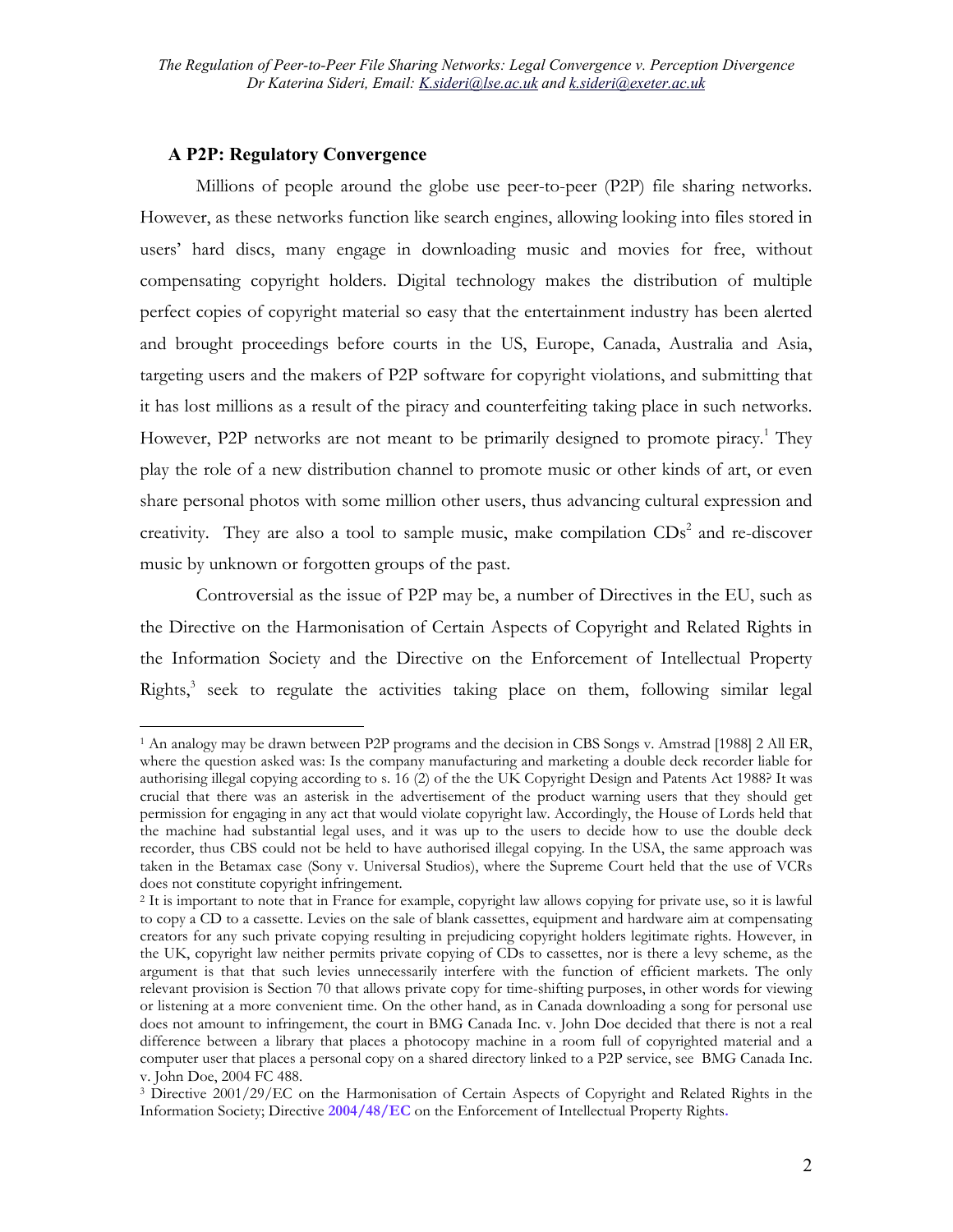### **A P2P: Regulatory Convergence**

 $\overline{a}$ 

Millions of people around the globe use peer-to-peer (P2P) file sharing networks. However, as these networks function like search engines, allowing looking into files stored in users' hard discs, many engage in downloading music and movies for free, without compensating copyright holders. Digital technology makes the distribution of multiple perfect copies of copyright material so easy that the entertainment industry has been alerted and brought proceedings before courts in the US, Europe, Canada, Australia and Asia, targeting users and the makers of P2P software for copyright violations, and submitting that it has lost millions as a result of the piracy and counterfeiting taking place in such networks. However, P2P networks are not meant to be primarily designed to promote piracy.<sup>[1](#page-1-0)</sup> They play the role of a new distribution channel to promote music or other kinds of art, or even share personal photos with some million other users, thus advancing cultural expression and creativity. They are also a tool to sample music, make compilation  $CDs<sup>2</sup>$  and re-discover music by unknown or forgotten groups of the past.

Controversial as the issue of P2P may be, a number of Directives in the EU, such as the Directive on the Harmonisation of Certain Aspects of Copyright and Related Rights in the Information Society and the Directive on the Enforcement of Intellectual Property Rights,<sup>3</sup> seek to regulate the activities taking place on them, following similar legal

<span id="page-1-0"></span><sup>1</sup> An analogy may be drawn between P2P programs and the decision in CBS Songs v. Amstrad [1988] 2 All ER, where the question asked was: Is the company manufacturing and marketing a double deck recorder liable for authorising illegal copying according to s. 16 (2) of the the UK Copyright Design and Patents Act 1988? It was crucial that there was an asterisk in the advertisement of the product warning users that they should get permission for engaging in any act that would violate copyright law. Accordingly, the House of Lords held that the machine had substantial legal uses, and it was up to the users to decide how to use the double deck recorder, thus CBS could not be held to have authorised illegal copying. In the USA, the same approach was taken in the Betamax case (Sony v. Universal Studios), where the Supreme Court held that the use of VCRs does not constitute copyright infringement.

<span id="page-1-1"></span><sup>2</sup> It is important to note that in France for example, copyright law allows copying for private use, so it is lawful to copy a CD to a cassette. Levies on the sale of blank cassettes, equipment and hardware aim at compensating creators for any such private copying resulting in prejudicing copyright holders legitimate rights. However, in the UK, copyright law neither permits private copying of CDs to cassettes, nor is there a levy scheme, as the argument is that that such levies unnecessarily interfere with the function of efficient markets. The only relevant provision is Section 70 that allows private copy for time-shifting purposes, in other words for viewing or listening at a more convenient time. On the other hand, as in Canada downloading a song for personal use does not amount to infringement, the court in BMG Canada Inc. v. John Doe decided that there is not a real difference between a library that places a photocopy machine in a room full of copyrighted material and a computer user that places a personal copy on a shared directory linked to a P2P service, see BMG Canada Inc. v. John Doe, 2004 FC 488.

<span id="page-1-2"></span><sup>&</sup>lt;sup>3</sup> Directive 2001/29/EC on the Harmonisation of Certain Aspects of Copyright and Related Rights in the Information Society; Directive **2004/48/EC** on the Enforcement of Intellectual Property Rights**.**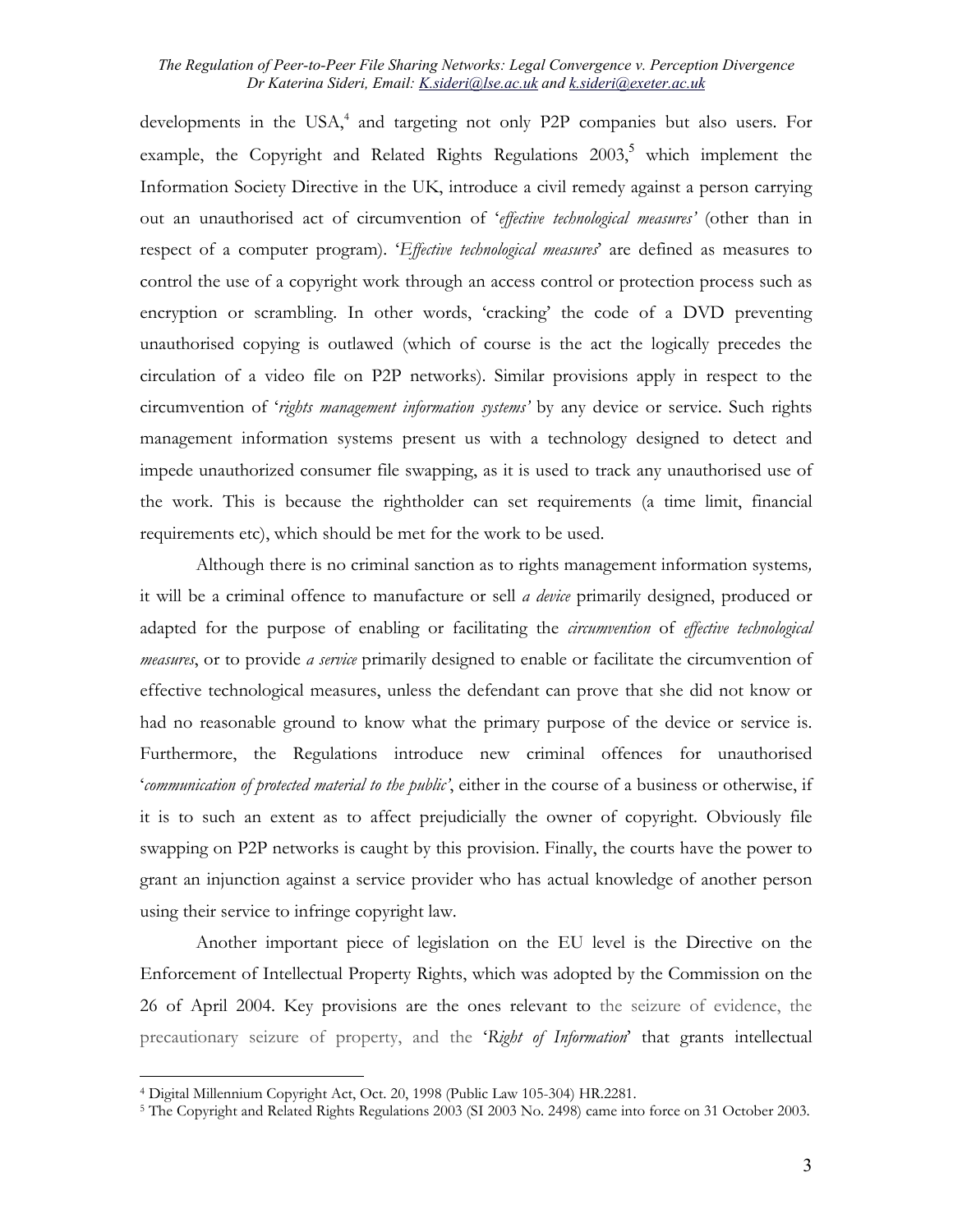developments in the USA,<sup>4</sup> and targeting not only P2P companies but also users. For example, the Copyright and Related Rights Regulations 2003,<sup>[5](#page-2-1)</sup> which implement the Information Society Directive in the UK, introduce a civil remedy against a person carrying out an unauthorised act of circumvention of '*effective technological measures'* (other than in respect of a computer program). '*Effective technological measures*' are defined as measures to control the use of a copyright work through an access control or protection process such as encryption or scrambling. In other words, 'cracking' the code of a DVD preventing unauthorised copying is outlawed (which of course is the act the logically precedes the circulation of a video file on P2P networks). Similar provisions apply in respect to the circumvention of '*rights management information systems'* by any device or service. Such rights management information systems present us with a technology designed to detect and impede unauthorized consumer file swapping, as it is used to track any unauthorised use of the work. This is because the rightholder can set requirements (a time limit, financial requirements etc), which should be met for the work to be used.

Although there is no criminal sanction as to rights management information systems*,* it will be a criminal offence to manufacture or sell *a device* primarily designed, produced or adapted for the purpose of enabling or facilitating the *circumvention* of *effective technological measures*, or to provide *a service* primarily designed to enable or facilitate the circumvention of effective technological measures, unless the defendant can prove that she did not know or had no reasonable ground to know what the primary purpose of the device or service is. Furthermore, the Regulations introduce new criminal offences for unauthorised '*communication of protected material to the public'*, either in the course of a business or otherwise, if it is to such an extent as to affect prejudicially the owner of copyright. Obviously file swapping on P2P networks is caught by this provision. Finally, the courts have the power to grant an injunction against a service provider who has actual knowledge of another person using their service to infringe copyright law.

Another important piece of legislation on the EU level is the Directive on the Enforcement of Intellectual Property Rights, which was adopted by the Commission on the 26 of April 2004. Key provisions are the ones relevant to the seizure of evidence, the precautionary seizure of property, and the '*Right of Information*' that grants intellectual

<span id="page-2-1"></span><span id="page-2-0"></span>

<sup>&</sup>lt;sup>4</sup> Digital Millennium Copyright Act, Oct. 20, 1998 (Public Law 105-304) HR.2281.<br><sup>5</sup> The Copyright and Related Rights Regulations 2003 (SI 2003 No. 2498) came into force on 31 October 2003.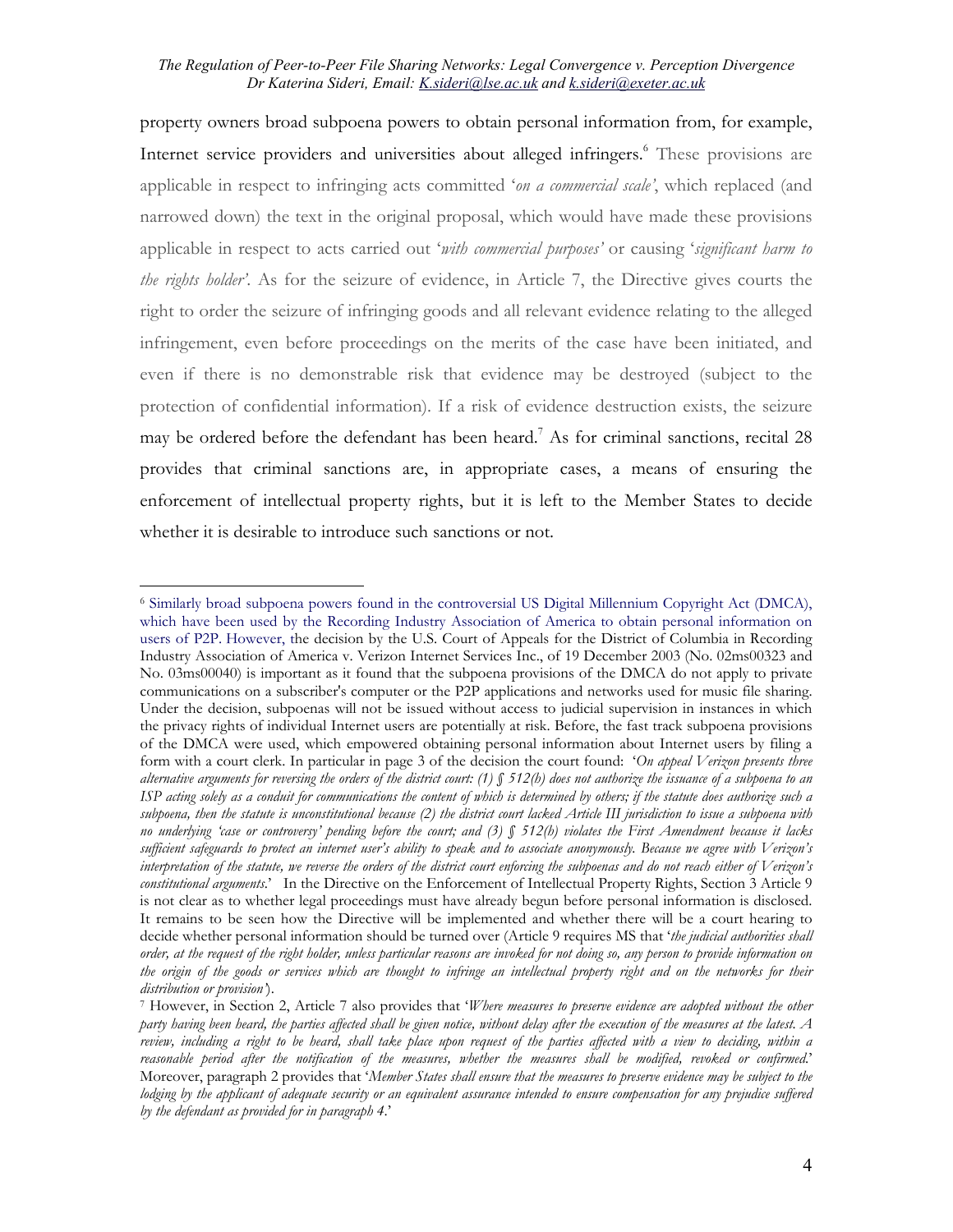property owners broad subpoena powers to obtain personal information from, for example, Internet service providers and universities about alleged infringers.<sup>6</sup> These provisions are applicable in respect to infringing acts committed '*on a commercial scale'*, which replaced (and narrowed down) the text in the original proposal, which would have made these provisions applicable in respect to acts carried out '*with commercial purposes'* or causing '*significant harm to the rights holder'*. As for the seizure of evidence, in Article 7, the Directive gives courts the right to order the seizure of infringing goods and all relevant evidence relating to the alleged infringement, even before proceedings on the merits of the case have been initiated, and even if there is no demonstrable risk that evidence may be destroyed (subject to the protection of confidential information). If a risk of evidence destruction exists, the seizure may be ordered before the defendant has been heard.<sup>[7](#page-3-1)</sup> As for criminal sanctions, recital 28 provides that criminal sanctions are, in appropriate cases, a means of ensuring the enforcement of intellectual property rights, but it is left to the Member States to decide whether it is desirable to introduce such sanctions or not.

<span id="page-3-0"></span><sup>6</sup> Similarly broad subpoena powers found in the controversial US Digital Millennium Copyright Act (DMCA), which have been used by the Recording Industry Association of America to obtain personal information on users of P2P. However, the decision by the U.S. Court of Appeals for the District of Columbia in Recording Industry Association of America v. Verizon Internet Services Inc., of 19 December 2003 (No. 02ms00323 and No. 03ms00040) is important as it found that the subpoena provisions of the DMCA do not apply to private communications on a subscriber's computer or the P2P applications and networks used for music file sharing. Under the decision, subpoenas will not be issued without access to judicial supervision in instances in which the privacy rights of individual Internet users are potentially at risk. Before, the fast track subpoena provisions of the DMCA were used, which empowered obtaining personal information about Internet users by filing a form with a court clerk. In particular in page 3 of the decision the court found: '*On appeal Verizon presents three alternative arguments for reversing the orders of the district court: (1) § 512(h) does not authorize the issuance of a subpoena to an ISP acting solely as a conduit for communications the content of which is determined by others; if the statute does authorize such a subpoena, then the statute is unconstitutional because (2) the district court lacked Article III jurisdiction to issue a subpoena with no underlying 'case or controversy' pending before the court; and (3) § 512(h) violates the First Amendment because it lacks sufficient safeguards to protect an internet user's ability to speak and to associate anonymously. Because we agree with Verizon's interpretation of the statute, we reverse the orders of the district court enforcing the subpoenas and do not reach either of Verizon's constitutional arguments*.' In the Directive on the Enforcement of Intellectual Property Rights, Section 3 Article 9 is not clear as to whether legal proceedings must have already begun before personal information is disclosed. It remains to be seen how the Directive will be implemented and whether there will be a court hearing to decide whether personal information should be turned over (Article 9 requires MS that '*the judicial authorities shall order, at the request of the right holder, unless particular reasons are invoked for not doing so, any person to provide information on the origin of the goods or services which are thought to infringe an intellectual property right and on the networks for their distribution or provision'*).<br>7 However, in Section 2, Article 7 also provides that *'Where measures to preserve evidence are adopted without the other* 

<span id="page-3-1"></span>*party having been heard, the parties affected shall be given notice, without delay after the execution of the measures at the latest. A review, including a right to be heard, shall take place upon request of the parties affected with a view to deciding, within a reasonable period after the notification of the measures, whether the measures shall be modified, revoked or confirmed*.' Moreover, paragraph 2 provides that '*Member States shall ensure that the measures to preserve evidence may be subject to the lodging by the applicant of adequate security or an equivalent assurance intended to ensure compensation for any prejudice suffered by the defendant as provided for in paragraph 4*.'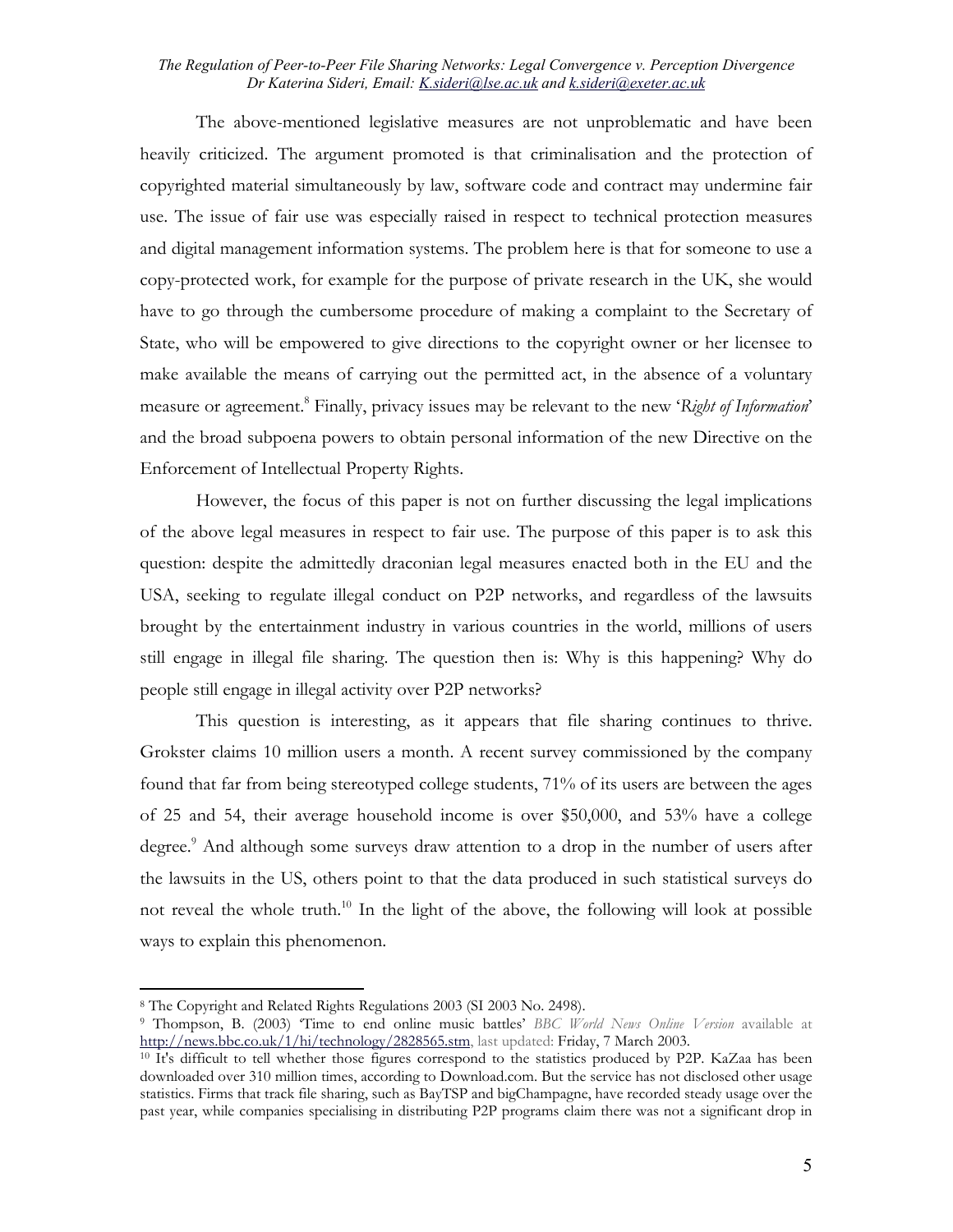<span id="page-4-2"></span>The above-mentioned legislative measures are not unproblematic and have been heavily criticized. The argument promoted is that criminalisation and the protection of copyrighted material simultaneously by law, software code and contract may undermine fair use. The issue of fair use was especially raised in respect to technical protection measures and digital management information systems. The problem here is that for someone to use a copy-protected work, for example for the purpose of private research in the UK, she would have to go through the cumbersome procedure of making a complaint to the Secretary of State, who will be empowered to give directions to the copyright owner or her licensee to make available the means of carrying out the permitted act, in the absence of a voluntary measure or agreement.[8](#page-4-0) Finally, privacy issues may be relevant to the new '*Right of Information*' and the broad subpoena powers to obtain personal information of the new Directive on the Enforcement of Intellectual Property Rights.

However, the focus of this paper is not on further discussing the legal implications of the above legal measures in respect to fair use. The purpose of this paper is to ask this question: despite the admittedly draconian legal measures enacted both in the EU and the USA, seeking to regulate illegal conduct on P2P networks, and regardless of the lawsuits brought by the entertainment industry in various countries in the world, millions of users still engage in illegal file sharing. The question then is: Why is this happening? Why do people still engage in illegal activity over P2P networks?

This question is interesting, as it appears that file sharing continues to thrive. Grokster claims 10 million users a month. A recent survey commissioned by the company found that far from being stereotyped college students, 71% of its users are between the ages of 25 and 54, their average household income is over \$50,000, and 53% have a college degree.<sup>[9](#page-4-1)</sup> And although some surveys draw attention to a drop in the number of users after the lawsuits in the US, others point to that the data produced in such statistical surveys do not reveal the whole truth.<sup>10</sup> In the light of the above, the following will look at possible ways to explain this phenomenon.

<span id="page-4-0"></span><sup>8</sup> The Copyright and Related Rights Regulations 2003 (SI 2003 No. 2498).

<span id="page-4-1"></span><sup>9</sup> Thompson, B. (2003) 'Time to end online music battles' *BBC World News Online Version* available at

<sup>&</sup>lt;sup>10</sup> It's difficult to tell whether those figures correspond to the statistics produced by P2P. KaZaa has been downloaded over 310 million times, according to Download.com. But the service has not disclosed other usage statistics. Firms that track file sharing, such as BayTSP and bigChampagne, have recorded steady usage over the past year, while companies specialising in distributing P2P programs claim there was not a significant drop in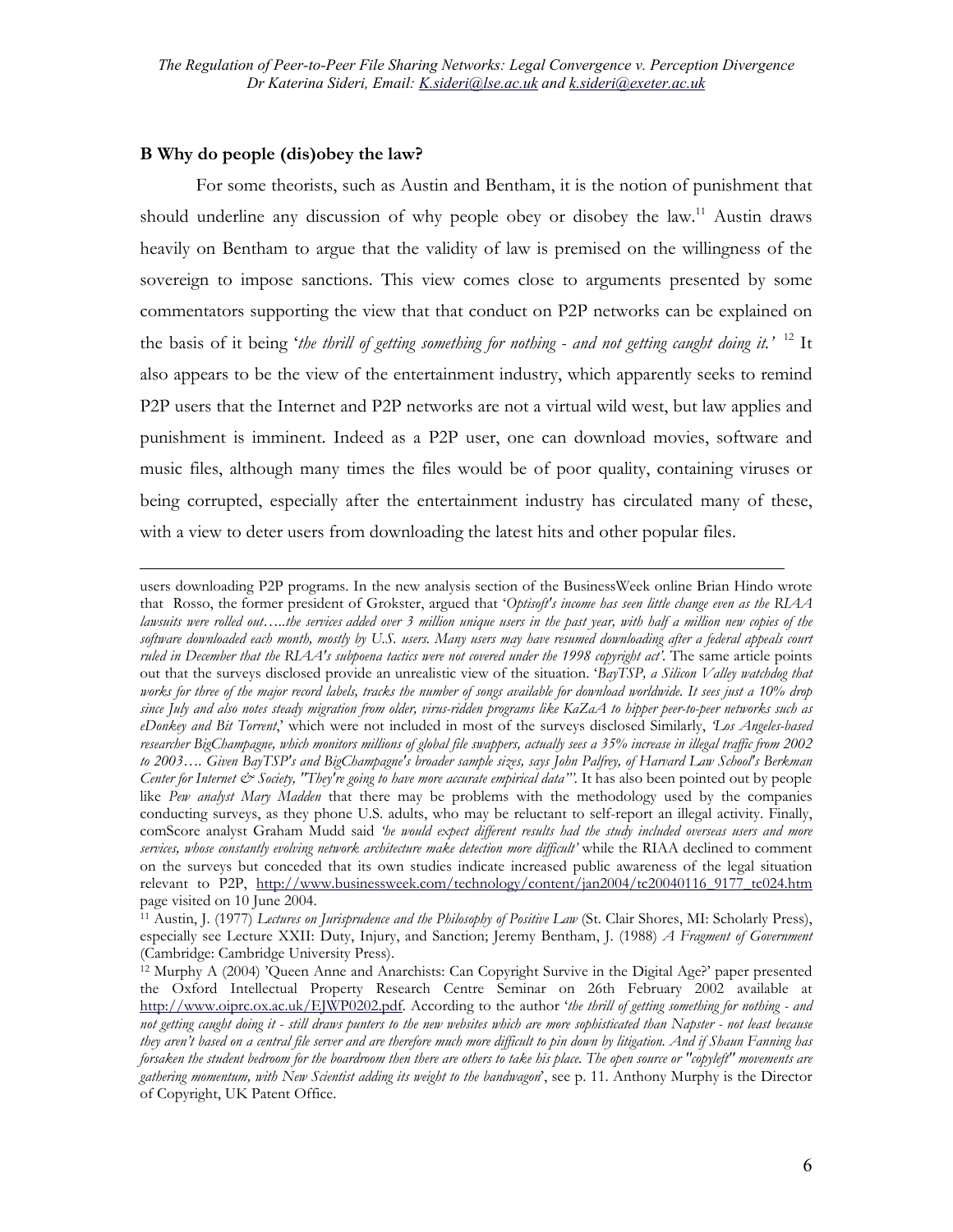### **B Why do people (dis)obey the law?**

 $\overline{a}$ 

For some theorists, such as Austin and Bentham, it is the notion of punishment that should underline any discussion of why people obey or disobey the law.[11](#page-5-0) Austin draws heavily on Bentham to argue that the validity of law is premised on the willingness of the sovereign to impose sanctions. This view comes close to arguments presented by some commentators supporting the view that that conduct on P2P networks can be explained on the basis of it being '*the thrill of getting something for nothing - and not getting caught doing it.'* [12](#page-5-1) It also appears to be the view of the entertainment industry, which apparently seeks to remind P2P users that the Internet and P2P networks are not a virtual wild west, but law applies and punishment is imminent. Indeed as a P2P user, one can download movies, software and music files, although many times the files would be of poor quality, containing viruses or being corrupted, especially after the entertainment industry has circulated many of these, with a view to deter users from downloading the latest hits and other popular files.

users downloading P2P programs. In the new analysis section of the BusinessWeek online Brian Hindo wrote that Rosso, the former president of Grokster, argued that '*Optisoft's income has seen little change even as the RIAA lawsuits were rolled out…..the services added over 3 million unique users in the past year, with half a million new copies of the software downloaded each month, mostly by U.S. users. Many users may have resumed downloading after a federal appeals court ruled in December that the RIAA's subpoena tactics were not covered under the 1998 copyright act'*. The same article points out that the surveys disclosed provide an unrealistic view of the situation. '*BayTSP, a Silicon Valley watchdog that works for three of the major record labels, tracks the number of songs available for download worldwide. It sees just a 10% drop since July and also notes steady migration from older, virus-ridden programs like KaZaA to hipper peer-to-peer networks such as eDonkey and Bit Torrent*,' which were not included in most of the surveys disclosed Similarly, *'Los Angeles-based researcher BigChampagne, which monitors millions of global file swappers, actually sees a 35% increase in illegal traffic from 2002 to 2003…. Given BayTSP's and BigChampagne's broader sample sizes, says John Palfrey, of Harvard Law School's Berkman Center for Internet & Society, "They're going to have more accurate empirical data"'.* It has also been pointed out by people like *Pew analyst Mary Madden* that there may be problems with the methodology used by the companies conducting surveys, as they phone U.S. adults, who may be reluctant to self-report an illegal activity. Finally, comScore analyst Graham Mudd said *'he would expect different results had the study included overseas users and more services, whose constantly evolving network architecture make detection more difficult'* while the RIAA declined to comment on the surveys but conceded that its own studies indicate increased public awareness of the legal situation relevant to P2P, [http://www.businessweek.com/technology/content/jan2004/tc20040116\\_9177\\_tc024.htm](http://www.businessweek.com/technology/content/jan2004/tc20040116_9177_tc024.htm) page visited on 10 June 2004.

<span id="page-5-0"></span>11 Austin, J. (1977) *Lectures on Jurisprudence and the Philosophy of Positive Law* (St. Clair Shores, MI: Scholarly Press), especially see Lecture XXII: Duty, Injury, and Sanction; Jeremy Bentham, J. (1988) *A Fragment of Government* (Cambridge: Cambridge University Press).

<span id="page-5-1"></span><sup>&</sup>lt;sup>12</sup> Murphy A (2004) 'Queen Anne and Anarchists: Can Copyright Survive in the Digital Age?' paper presented the Oxford Intellectual Property Research Centre Seminar on 26th February 2002 available at [http://www.oiprc.ox.ac.uk/EJWP0202.pdf.](http://www.oiprc.ox.ac.uk/EJWP0202.pdf) According to the author '*the thrill of getting something for nothing - and not getting caught doing it - still draws punters to the new websites which are more sophisticated than Napster - not least because they aren't based on a central file server and are therefore much more difficult to pin down by litigation. And if Shaun Fanning has forsaken the student bedroom for the boardroom then there are others to take his place. The open source or "copyleft" movements are gathering momentum, with New Scientist adding its weight to the bandwagon*', see p. 11. Anthony Murphy is the Director of Copyright, UK Patent Office.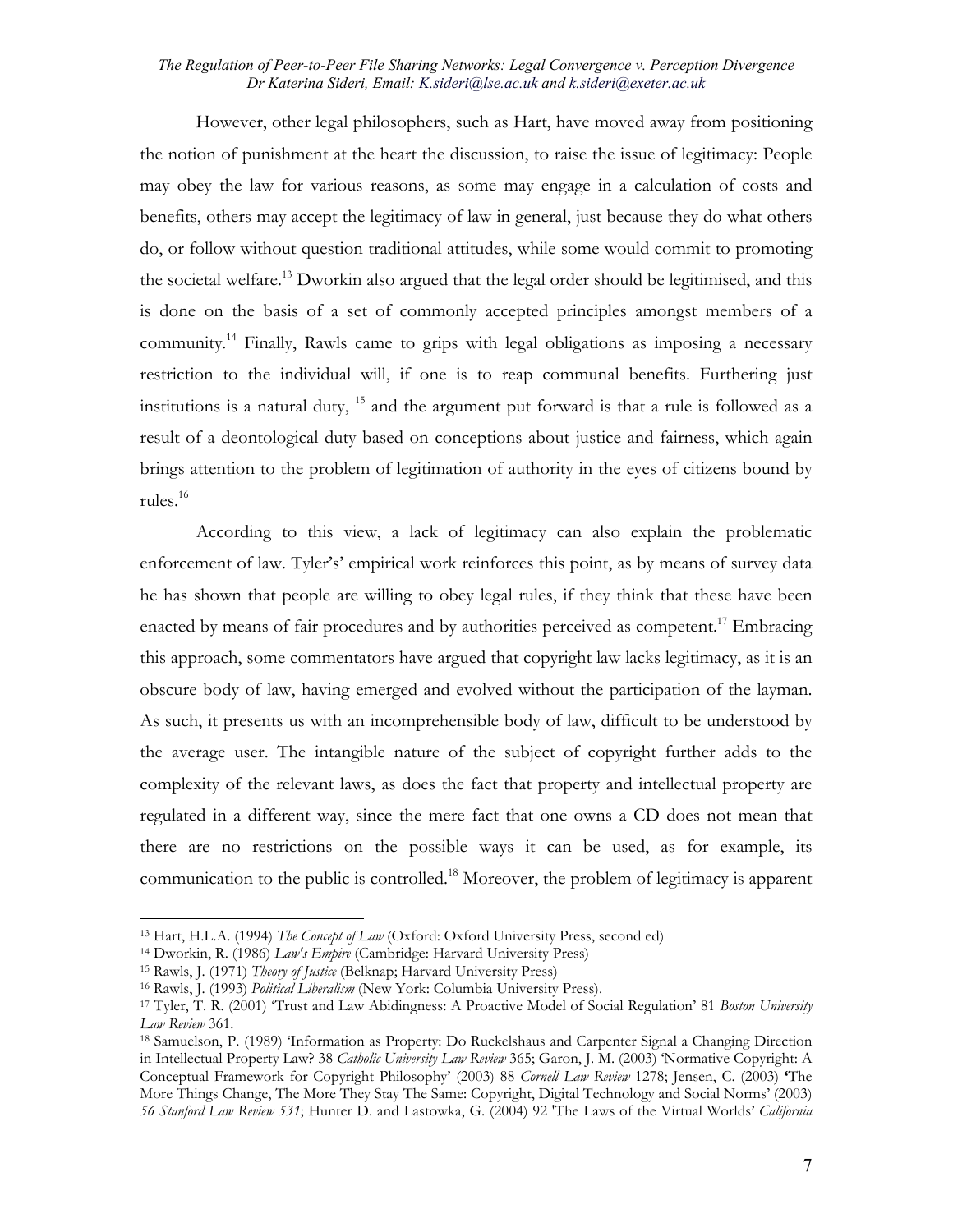<span id="page-6-5"></span>However, other legal philosophers, such as Hart, have moved away from positioning the notion of punishment at the heart the discussion, to raise the issue of legitimacy: People may obey the law for various reasons, as some may engage in a calculation of costs and benefits, others may accept the legitimacy of law in general, just because they do what others do, or follow without question traditional attitudes, while some would commit to promoting the societal welfare.<sup>13</sup> Dworkin also argued that the legal order should be legitimised, and this is done on the basis of a set of commonly accepted principles amongst members of a community.<sup>14</sup> Finally, Rawls came to grips with legal obligations as imposing a necessary restriction to the individual will, if one is to reap communal benefits. Furthering just institutions is a natural duty,  $15$  and the argument put forward is that a rule is followed as a result of a deontological duty based on conceptions about justice and fairness, which again brings attention to the problem of legitimation of authority in the eyes of citizens bound by rules.[16](#page-6-3) 

According to this view, a lack of legitimacy can also explain the problematic enforcement of law. Tyler's' empirical work reinforces this point, as by means of survey data he has shown that people are willing to obey legal rules, if they think that these have been enacted by means of fair procedures and by authorities perceived as competent.<sup>17</sup> Embracing this approach, some commentators have argued that copyright law lacks legitimacy, as it is an obscure body of law, having emerged and evolved without the participation of the layman. As such, it presents us with an incomprehensible body of law, difficult to be understood by the average user. The intangible nature of the subject of copyright further adds to the complexity of the relevant laws, as does the fact that property and intellectual property are regulated in a different way, since the mere fact that one owns a CD does not mean that there are no restrictions on the possible ways it can be used, as for example, its communication to the public is controlled.[18](#page-6-5) Moreover, the problem of legitimacy is apparent

<span id="page-6-1"></span>

<span id="page-6-2"></span>

<span id="page-6-4"></span><span id="page-6-3"></span>

<span id="page-6-0"></span><sup>&</sup>lt;sup>13</sup> Hart, H.L.A. (1994) *The Concept of Law* (Oxford: Oxford University Press, second ed)<br><sup>14</sup> Dworkin, R. (1986) *Law's Empire* (Cambridge: Harvard University Press)<br><sup>15</sup> Rawls, J. (1971) *Theory of Justice* (Belknap; Ha *Law Review* 361.<br><sup>18</sup> Samuelson, P. (1989) 'Information as Property: Do Ruckelshaus and Carpenter Signal a Changing Direction

in Intellectual Property Law? 38 *Catholic University Law Review* 365; Garon, J. M. (2003) 'Normative Copyright: A Conceptual Framework for Copyright Philosophy' (2003) 88 *Cornell Law Review* 1278; Jensen, C. (2003) **'**The More Things Change, The More They Stay The Same: Copyright, Digital Technology and Social Norms' (2003) *56 Stanford Law Review 531*; Hunter D. and Lastowka, G. (2004) 92 'The Laws of the Virtual Worlds' *California*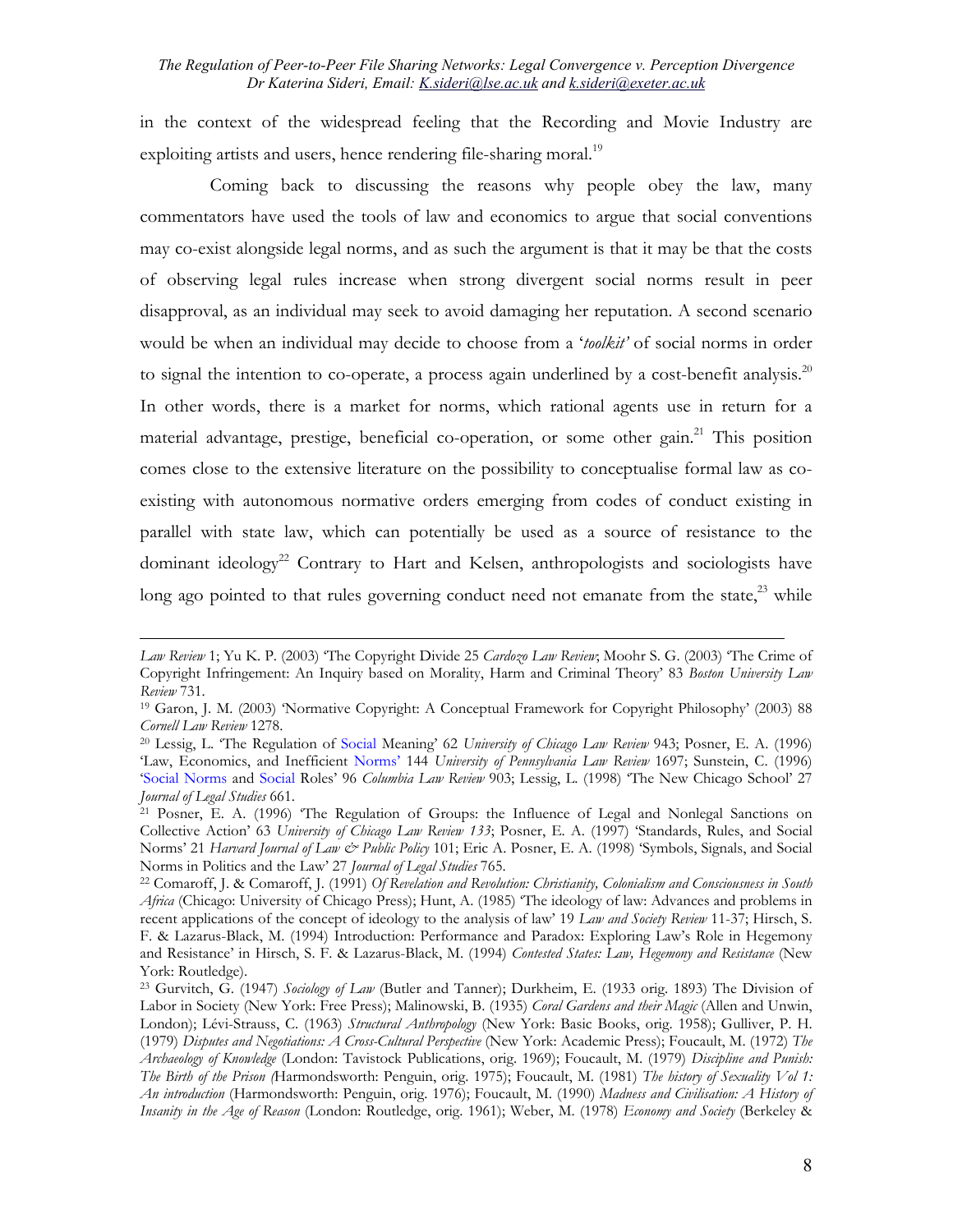<span id="page-7-4"></span>in the context of the widespread feeling that the Recording and Movie Industry are exploiting artists and users, hence rendering file-sharing moral.<sup>[19](#page-7-0)</sup>

Coming back to discussing the reasons why people obey the law, many commentators have used the tools of law and economics to argue that social conventions may co-exist alongside legal norms, and as such the argument is that it may be that the costs of observing legal rules increase when strong divergent social norms result in peer disapproval, as an individual may seek to avoid damaging her reputation. A second scenario would be when an individual may decide to choose from a '*toolkit'* of social norms in order to signal the intention to co-operate, a process again underlined by a cost-benefit analysis. $20$ In other words, there is a market for norms, which rational agents use in return for a material advantage, prestige, beneficial co-operation, or some other gain.<sup>[21](#page-7-2)</sup> This position comes close to the extensive literature on the possibility to conceptualise formal law as coexisting with autonomous normative orders emerging from codes of conduct existing in parallel with state law, which can potentially be used as a source of resistance to the dominant ideology<sup>22</sup> Contrary to Hart and Kelsen, anthropologists and sociologists have long ago pointed to that rules governing conduct need not emanate from the state, $^{23}$  while

*Law Review* 1; Yu K. P. (2003) 'The Copyright Divide 25 *Cardozo Law Review*; Moohr S. G. (2003) 'The Crime of Copyright Infringement: An Inquiry based on Morality, Harm and Criminal Theory' 83 *Boston University Law Review* 731.<br><sup>19</sup> Garon, J. M. (2003) 'Normative Copyright: A Conceptual Framework for Copyright Philosophy' (2003) 88

<span id="page-7-0"></span>*Cornell Law Review* 1278.<br><sup>20</sup> Lessig, L. 'The Regulation of Social Meaning' 62 *University of Chicago Law Review* 943; Posner, E. A. (1996)

<span id="page-7-1"></span><sup>&#</sup>x27;Law, Economics, and Inefficient Norms' 144 *University of Pennsylvania Law Review* 1697; Sunstein, C. (1996) 'Social Norms and Social Roles' 96 *Columbia Law Review* 903; Lessig, L. (1998) 'The New Chicago School' 27

<span id="page-7-2"></span><sup>&</sup>lt;sup>21</sup> Posner, E. A. (1996) 'The Regulation of Groups: the Influence of Legal and Nonlegal Sanctions on Collective Action' 63 *University of Chicago Law Review 133*; Posner, E. A. (1997) 'Standards, Rules, and Social Norms' 21 *Harvard Journal of Law & Public Policy* 101; Eric A. Posner, E. A. (1998) 'Symbols, Signals, and Social Norms in Politics and the Law' 27 *Journal of Legal Studies* 765.

<span id="page-7-3"></span><sup>&</sup>lt;sup>22</sup> Comaroff, J. & Comaroff, J. (1991) *Of Revelation and Revolution: Christianity, Colonialism and Consciousness in South Africa* (Chicago: University of Chicago Press); Hunt, A. (1985) 'The ideology of law: Advances and problems in recent applications of the concept of ideology to the analysis of law' 19 *Law and Society Review* 11-37; Hirsch, S. F. & Lazarus-Black, M. (1994) Introduction: Performance and Paradox: Exploring Law's Role in Hegemony and Resistance' in Hirsch, S. F. & Lazarus-Black, M. (1994) *Contested States: Law, Hegemony and Resistance* (New York: Routledge).

<sup>23</sup> Gurvitch, G. (1947) *Sociology of Law* (Butler and Tanner); Durkheim, E. (1933 orig. 1893) The Division of Labor in Society (New York: Free Press); Malinowski, B. (1935) *Coral Gardens and their Magic* (Allen and Unwin, London); Lévi-Strauss, C. (1963) *Structural Anthropology* (New York: Basic Books, orig. 1958); Gulliver, P. H. (1979) *Disputes and Negotiations: A Cross-Cultural Perspective* (New York: Academic Press); Foucault, M. (1972) *The Archaeology of Knowledge* (London: Tavistock Publications, orig. 1969); Foucault, M. (1979) *Discipline and Punish: The Birth of the Prison (*Harmondsworth: Penguin, orig. 1975); Foucault, M. (1981) *The history of Sexuality Vol 1: An introduction* (Harmondsworth: Penguin, orig. 1976); Foucault, M. (1990) *Madness and Civilisation: A History of Insanity in the Age of Reason* (London: Routledge, orig. 1961); Weber, M. (1978) *Economy and Society* (Berkeley &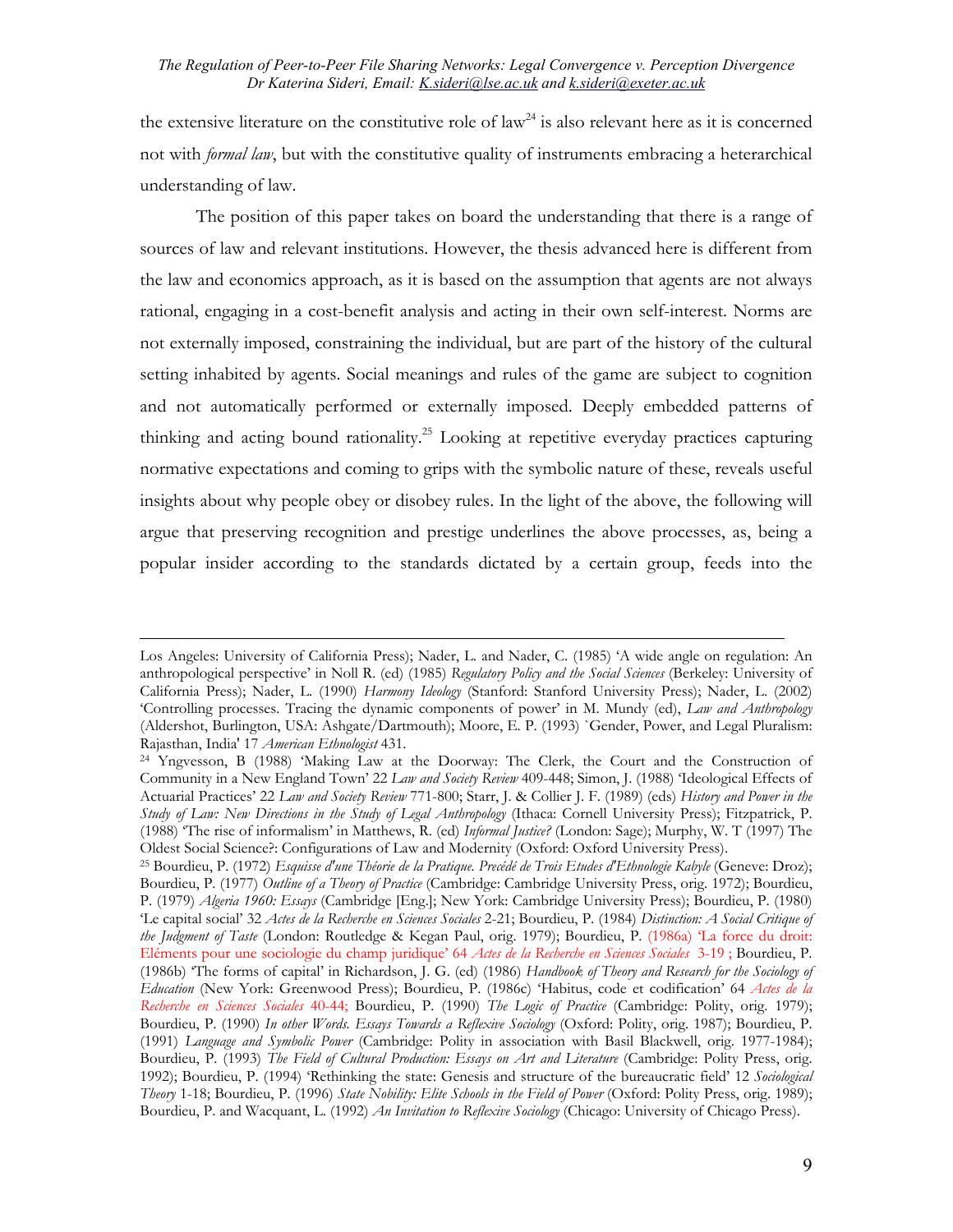the extensive literature on the constitutive role of  $law<sup>24</sup>$  is also relevant here as it is concerned not with *formal law*, but with the constitutive quality of instruments embracing a heterarchical understanding of law.

The position of this paper takes on board the understanding that there is a range of sources of law and relevant institutions. However, the thesis advanced here is different from the law and economics approach, as it is based on the assumption that agents are not always rational, engaging in a cost-benefit analysis and acting in their own self-interest. Norms are not externally imposed, constraining the individual, but are part of the history of the cultural setting inhabited by agents. Social meanings and rules of the game are subject to cognition and not automatically performed or externally imposed. Deeply embedded patterns of thinking and acting bound rationality.[25](#page-8-1) Looking at repetitive everyday practices capturing normative expectations and coming to grips with the symbolic nature of these, reveals useful insights about why people obey or disobey rules. In the light of the above, the following will argue that preserving recognition and prestige underlines the above processes, as, being a popular insider according to the standards dictated by a certain group, feeds into the

Los Angeles: University of California Press); Nader, L. and Nader, C. (1985) 'A wide angle on regulation: An anthropological perspective' in Noll R. (ed) (1985) *Regulatory Policy and the Social Sciences* (Berkeley: University of California Press); Nader, L. (1990) *Harmony Ideology* (Stanford: Stanford University Press); Nader, L. (2002) 'Controlling processes. Tracing the dynamic components of power' in M. Mundy (ed), *Law and Anthropology* (Aldershot, Burlington, USA: Ashgate/Dartmouth); Moore, E. P. (1993) `Gender, Power, and Legal Pluralism: Rajasthan, India' 17 *American Ethnologist* 431. 24 Yngvesson, B (1988) 'Making Law at the Doorway: The Clerk, the Court and the Construction of

<span id="page-8-0"></span>Community in a New England Town' 22 *Law and Society Review* 409-448; Simon, J. (1988) 'Ideological Effects of Actuarial Practices' 22 *Law and Society Review* 771-800; Starr, J. & Collier J. F. (1989) (eds) *History and Power in the Study of Law: New Directions in the Study of Legal Anthropology* (Ithaca: Cornell University Press); Fitzpatrick, P. (1988) 'The rise of informalism' in Matthews, R. (ed) *Informal Justice?* (London: Sage); Murphy, W. T (1997) The

<span id="page-8-1"></span><sup>&</sup>lt;sup>25</sup> Bourdieu, P. (1972) *Esquisse d'une Théorie de la Pratique. Precédé de Trois Etudes d'Ethnologie Kabyle* (Geneve: Droz); Bourdieu, P. (1977) *Outline of a Theory of Practice* (Cambridge: Cambridge University Press, orig. 1972); Bourdieu, P. (1979) *Algeria 1960: Essays* (Cambridge [Eng.]; New York: Cambridge University Press); Bourdieu, P. (1980) 'Le capital social' 32 *Actes de la Recherche en Sciences Sociales* 2-21; Bourdieu, P. (1984) *Distinction: A Social Critique of the Judgment of Taste* (London: Routledge & Kegan Paul, orig. 1979); Bourdieu, P. (1986a) 'La force du droit: Eléments pour une sociologie du champ juridique' 64 *Actes de la Recherche en Sciences Sociales* 3-19 ; Bourdieu, P. (1986b) 'The forms of capital' in Richardson, J. G. (ed) (1986) *Handbook of Theory and Research for the Sociology of Education* (New York: Greenwood Press); Bourdieu, P. (1986c) 'Habitus, code et codification' 64 *Actes de la Recherche en Sciences Sociales* 40-44; Bourdieu, P. (1990) *The Logic of Practice* (Cambridge: Polity, orig. 1979); Bourdieu, P. (1990) *In other Words. Essays Towards a Reflexive Sociology* (Oxford: Polity, orig. 1987); Bourdieu, P. (1991) *Language and Symbolic Power* (Cambridge: Polity in association with Basil Blackwell, orig. 1977-1984); Bourdieu, P. (1993) *The Field of Cultural Production: Essays on Art and Literature* (Cambridge: Polity Press, orig. 1992); Bourdieu, P. (1994) 'Rethinking the state: Genesis and structure of the bureaucratic field' 12 *Sociological Theory* 1-18; Bourdieu, P. (1996) *State Nobility: Elite Schools in the Field of Power* (Oxford: Polity Press, orig. 1989); Bourdieu, P. and Wacquant, L. (1992) *An Invitation to Reflexive Sociology* (Chicago: University of Chicago Press).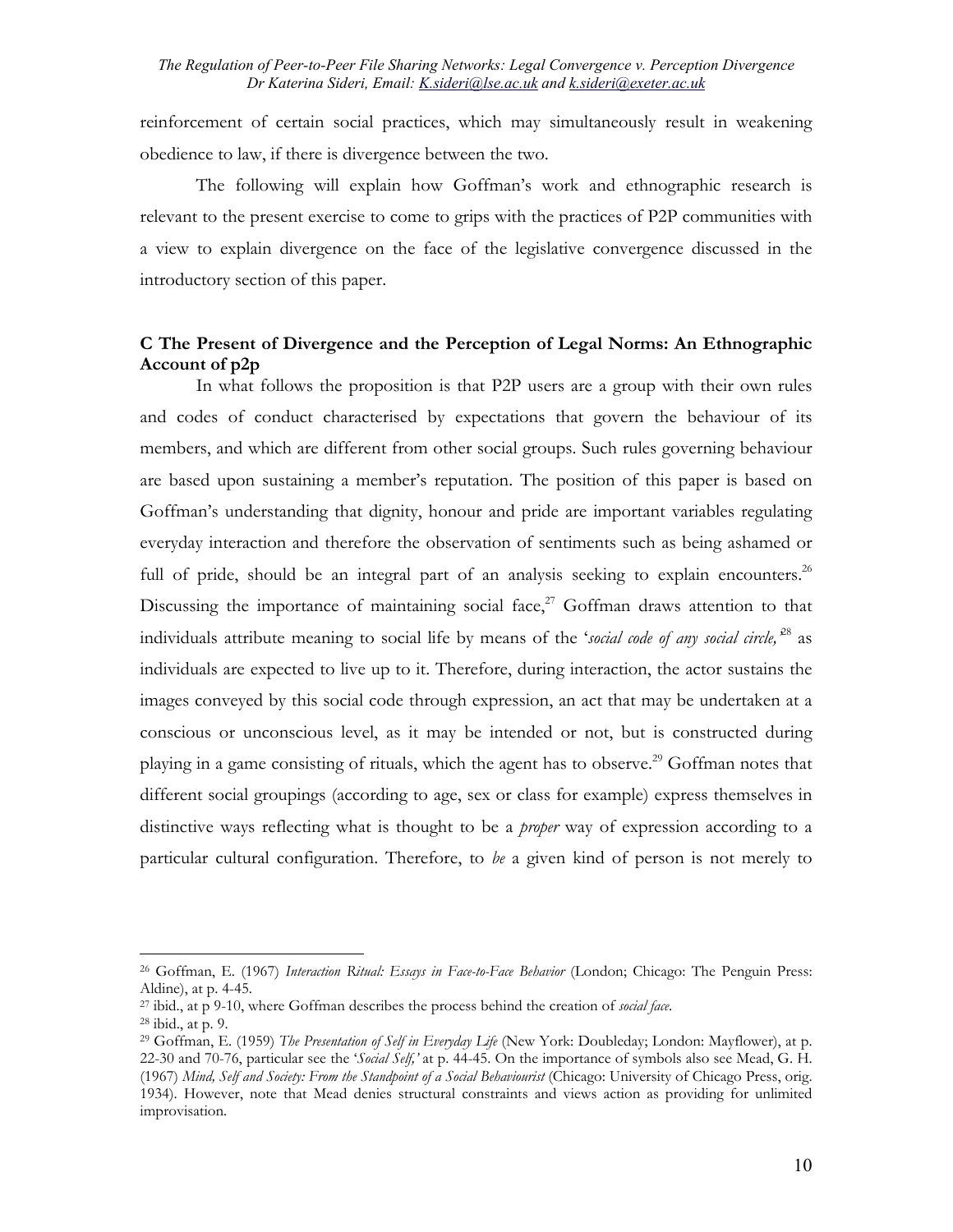reinforcement of certain social practices, which may simultaneously result in weakening obedience to law, if there is divergence between the two.

The following will explain how Goffman's work and ethnographic research is relevant to the present exercise to come to grips with the practices of P2P communities with a view to explain divergence on the face of the legislative convergence discussed in the introductory section of this paper.

### **C The Present of Divergence and the Perception of Legal Norms: An Ethnographic Account of p2p**

In what follows the proposition is that P2P users are a group with their own rules and codes of conduct characterised by expectations that govern the behaviour of its members, and which are different from other social groups. Such rules governing behaviour are based upon sustaining a member's reputation. The position of this paper is based on Goffman's understanding that dignity, honour and pride are important variables regulating everyday interaction and therefore the observation of sentiments such as being ashamed or full of pride, should be an integral part of an analysis seeking to explain encounters.<sup>[26](#page-9-0)</sup> Discussing the importance of maintaining social face, $2^7$  Goffman draws attention to that individuals attribute meaning to social life by means of the '*social code of any social circle,'*[28](#page-9-2) as individuals are expected to live up to it. Therefore, during interaction, the actor sustains the images conveyed by this social code through expression, an act that may be undertaken at a conscious or unconscious level, as it may be intended or not, but is constructed during playing in a game consisting of rituals, which the agent has to observe.<sup>29</sup> Goffman notes that different social groupings (according to age, sex or class for example) express themselves in distinctive ways reflecting what is thought to be a *proper* way of expression according to a particular cultural configuration. Therefore, to *be* a given kind of person is not merely to

<span id="page-9-0"></span><sup>26</sup> Goffman, E. (1967) *Interaction Ritual: Essays in Face-to-Face Behavior* (London; Chicago: The Penguin Press: Aldine), at p. 4-45.

<span id="page-9-1"></span><sup>27</sup> ibid., at p 9-10, where Goffman describes the process behind the creation of *social face*. 28 ibid., at p. 9.

<span id="page-9-2"></span>

<span id="page-9-3"></span><sup>29</sup> Goffman, E. (1959) *The Presentation of Self in Everyday Life* (New York: Doubleday; London: Mayflower), at p. 22-30 and 70-76, particular see the '*Social Self,'* at p. 44-45. On the importance of symbols also see Mead, G. H. (1967) *Mind, Self and Society: From the Standpoint of a Social Behaviourist* (Chicago: University of Chicago Press, orig. 1934). However, note that Mead denies structural constraints and views action as providing for unlimited improvisation.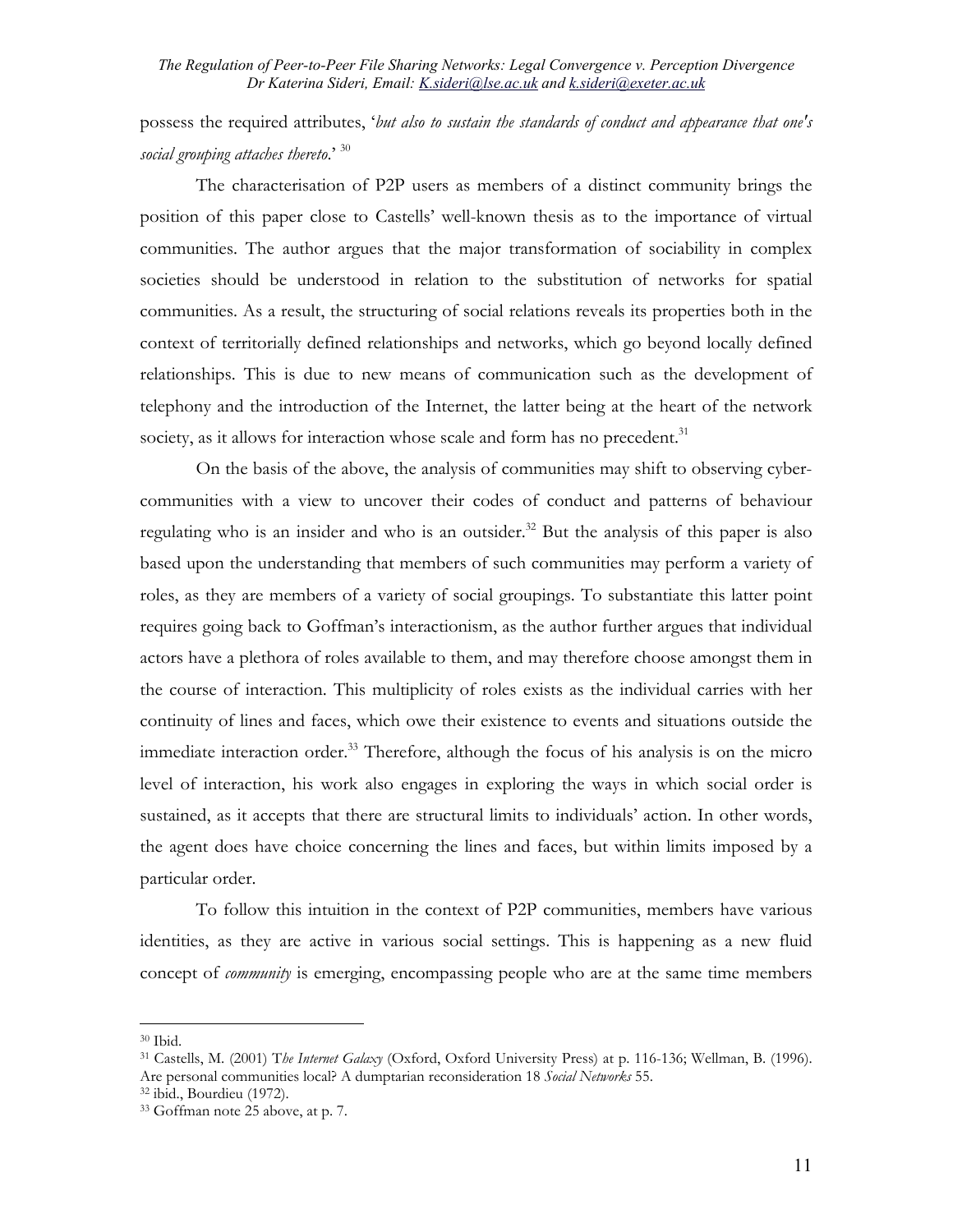## possess the required attributes, '*but also to sustain the standards of conduct and appearance that one's social grouping attaches thereto*.' [30](#page-10-0)

The characterisation of P2P users as members of a distinct community brings the position of this paper close to Castells' well-known thesis as to the importance of virtual communities. The author argues that the major transformation of sociability in complex societies should be understood in relation to the substitution of networks for spatial communities. As a result, the structuring of social relations reveals its properties both in the context of territorially defined relationships and networks, which go beyond locally defined relationships. This is due to new means of communication such as the development of telephony and the introduction of the Internet, the latter being at the heart of the network society, as it allows for interaction whose scale and form has no precedent.<sup>31</sup>

On the basis of the above, the analysis of communities may shift to observing cybercommunities with a view to uncover their codes of conduct and patterns of behaviour regulating who is an insider and who is an outsider.<sup>32</sup> But the analysis of this paper is also based upon the understanding that members of such communities may perform a variety of roles, as they are members of a variety of social groupings. To substantiate this latter point requires going back to Goffman's interactionism, as the author further argues that individual actors have a plethora of roles available to them, and may therefore choose amongst them in the course of interaction. This multiplicity of roles exists as the individual carries with her continuity of lines and faces, which owe their existence to events and situations outside the immediate interaction order.<sup>33</sup> Therefore, although the focus of his analysis is on the micro level of interaction, his work also engages in exploring the ways in which social order is sustained, as it accepts that there are structural limits to individuals' action. In other words, the agent does have choice concerning the lines and faces, but within limits imposed by a particular order.

To follow this intuition in the context of P2P communities, members have various identities, as they are active in various social settings. This is happening as a new fluid concept of *community* is emerging, encompassing people who are at the same time members

<span id="page-10-0"></span> $30$  Ibid.

<span id="page-10-1"></span><sup>31</sup> Castells, M. (2001) T*he Internet Galaxy* (Oxford, Oxford University Press) at p. 116-136; Wellman, B. (1996). Are personal communities local? A dumptarian reconsideration 18 *Social Networks* 55. 32 ibid., Bourdieu (1972).

<span id="page-10-2"></span>

<span id="page-10-3"></span><sup>33</sup> Goffman note 25 above, at p. 7.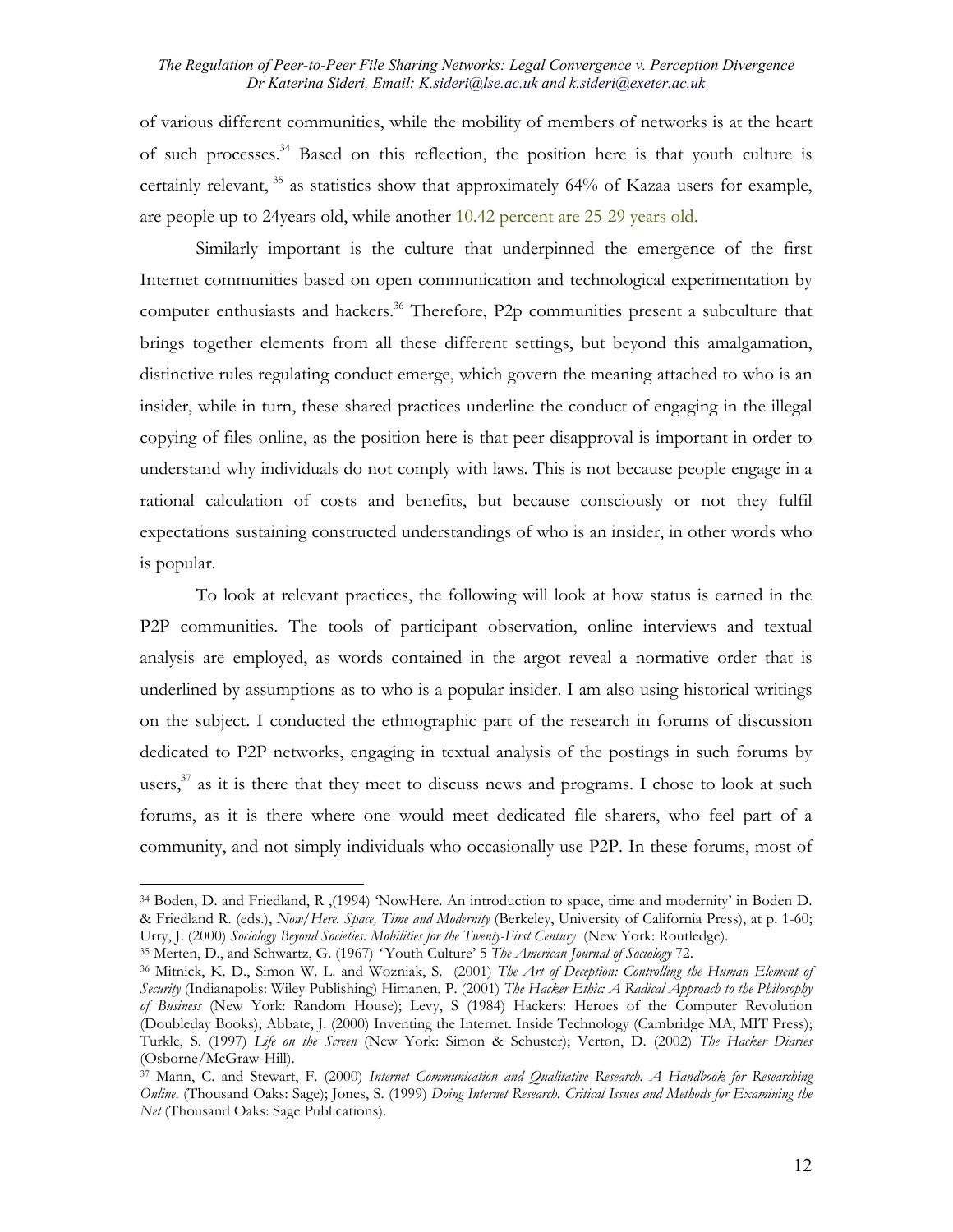of various different communities, while the mobility of members of networks is at the heart of such processes.[34](#page-11-0) Based on this reflection, the position here is that youth culture is certainly relevant,  $35$  as statistics show that approximately 64% of Kazaa users for example, are people up to 24years old, while another 10.42 percent are 25-29 years old.

Similarly important is the culture that underpinned the emergence of the first Internet communities based on open communication and technological experimentation by computer enthusiasts and hackers.<sup>36</sup> Therefore, P2p communities present a subculture that brings together elements from all these different settings, but beyond this amalgamation, distinctive rules regulating conduct emerge, which govern the meaning attached to who is an insider, while in turn, these shared practices underline the conduct of engaging in the illegal copying of files online, as the position here is that peer disapproval is important in order to understand why individuals do not comply with laws. This is not because people engage in a rational calculation of costs and benefits, but because consciously or not they fulfil expectations sustaining constructed understandings of who is an insider, in other words who is popular.

To look at relevant practices, the following will look at how status is earned in the P2P communities. The tools of participant observation, online interviews and textual analysis are employed, as words contained in the argot reveal a normative order that is underlined by assumptions as to who is a popular insider. I am also using historical writings on the subject. I conducted the ethnographic part of the research in forums of discussion dedicated to P2P networks, engaging in textual analysis of the postings in such forums by users, $37$  as it is there that they meet to discuss news and programs. I chose to look at such forums, as it is there where one would meet dedicated file sharers, who feel part of a community, and not simply individuals who occasionally use P2P. In these forums, most of

<span id="page-11-0"></span><sup>&</sup>lt;sup>34</sup> Boden, D. and Friedland, R (1994) 'NowHere. An introduction to space, time and modernity' in Boden D. & Friedland R. (eds.), *Now/Here. Space, Time and Modernity* (Berkeley, University of California Press), at p. 1-60;

<span id="page-11-1"></span><sup>&</sup>lt;sup>35</sup> Merten, D., and Schwartz, G. (1967) 'Youth Culture' 5 The American Journal of Sociology 72.<br><sup>36</sup> Mitnick, K. D., Simon W. L. and Wozniak, S. (2001) The Art of Deception: Controlling the Human Element of

<span id="page-11-2"></span>*Security* (Indianapolis: Wiley Publishing) Himanen, P. (2001) *The Hacker Ethic: A Radical Approach to the Philosophy of Business* (New York: Random House); Levy, S (1984) Hackers: Heroes of the Computer Revolution (Doubleday Books); Abbate, J. (2000) Inventing the Internet. Inside Technology (Cambridge MA; MIT Press); Turkle, S. (1997) *Life on the Screen* (New York: Simon & Schuster); Verton, D. (2002) *The Hacker Diaries* (Osborne/McGraw-Hill).

<span id="page-11-3"></span><sup>37</sup> Mann, C. and Stewart, F. (2000) *Internet Communication and Qualitative Research. A Handbook for Researching Online*. (Thousand Oaks: Sage); Jones, S. (1999) *Doing Internet Research. Critical Issues and Methods for Examining the Net* (Thousand Oaks: Sage Publications).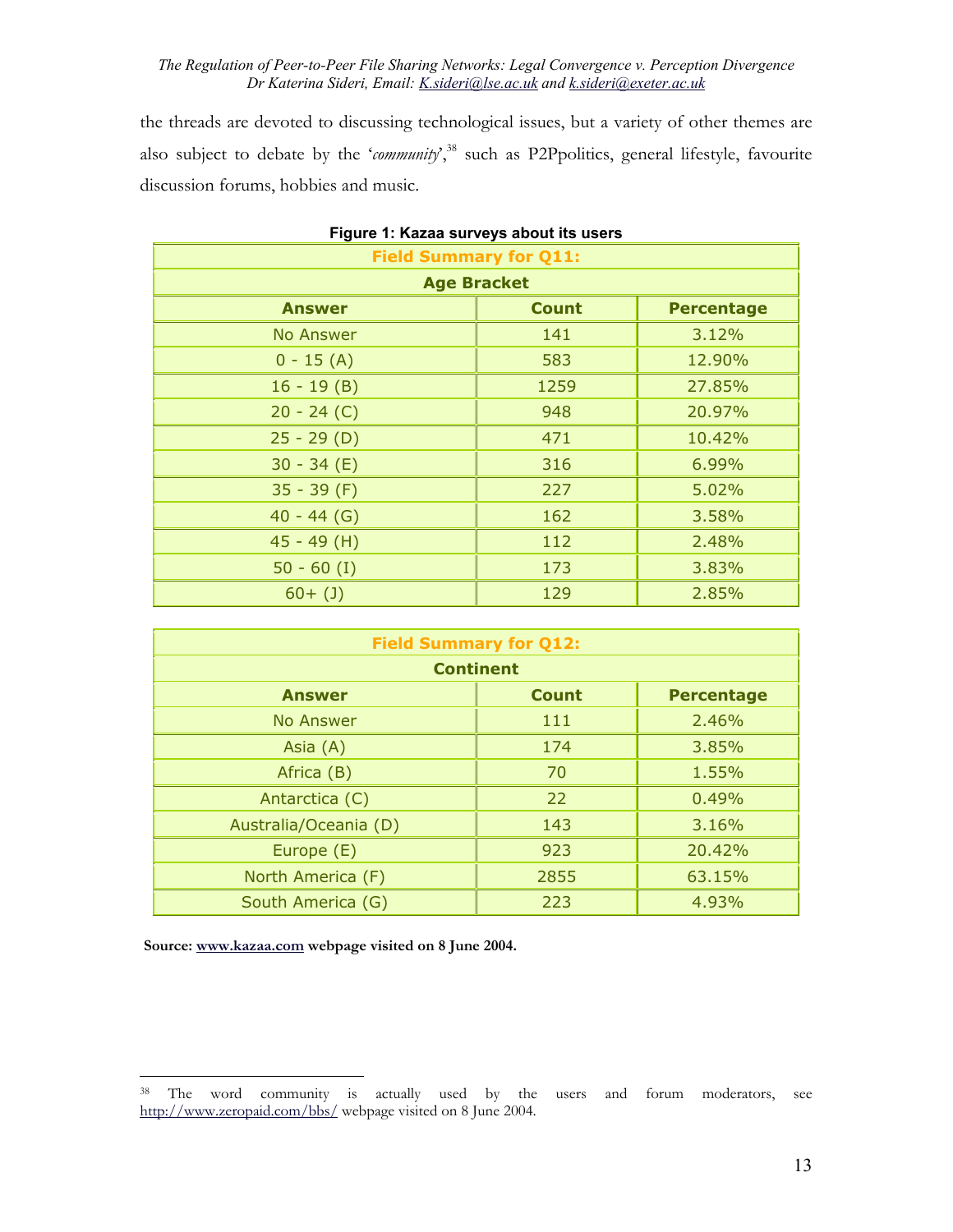the threads are devoted to discussing technological issues, but a variety of other themes are also subject to debate by the '*community*',<sup>38</sup> such as P2Ppolitics, general lifestyle, favourite discussion forums, hobbies and music.

| <b>Field Summary for Q11:</b> |              |                   |
|-------------------------------|--------------|-------------------|
| <b>Age Bracket</b>            |              |                   |
| <b>Answer</b>                 | <b>Count</b> | <b>Percentage</b> |
| No Answer                     | 141          | 3.12%             |
| $0 - 15(A)$                   | 583          | 12.90%            |
| $16 - 19(B)$                  | 1259         | 27.85%            |
| $20 - 24 (C)$                 | 948          | 20.97%            |
| $25 - 29$ (D)                 | 471          | 10.42%            |
| $30 - 34 (E)$                 | 316          | 6.99%             |
| $35 - 39$ (F)                 | 227          | 5.02%             |
| $40 - 44$ (G)                 | 162          | 3.58%             |
| $45 - 49$ (H)                 | 112          | 2.48%             |
| $50 - 60$ (I)                 | 173          | 3.83%             |
| $60+ (1)$                     | 129          | 2.85%             |

| Figure 1: Kazaa surveys about its users |  |
|-----------------------------------------|--|
|-----------------------------------------|--|

| <b>Field Summary for Q12:</b>                      |      |        |  |  |
|----------------------------------------------------|------|--------|--|--|
| <b>Continent</b>                                   |      |        |  |  |
| <b>Count</b><br><b>Percentage</b><br><b>Answer</b> |      |        |  |  |
| <b>No Answer</b>                                   | 111  | 2.46%  |  |  |
| Asia $(A)$                                         | 174  | 3.85%  |  |  |
| Africa (B)                                         | 70   | 1.55%  |  |  |
| Antarctica (C)                                     | 22   | 0.49%  |  |  |
| Australia/Oceania (D)                              | 143  | 3.16%  |  |  |
| Europe (E)                                         | 923  | 20.42% |  |  |
| North America (F)                                  | 2855 | 63.15% |  |  |
| South America (G)                                  | 223  | 4.93%  |  |  |

 **Source: [www.kazaa.com](http://www.kazaa.com/) webpage visited on 8 June 2004.** 

<span id="page-12-0"></span><sup>&</sup>lt;sup>38</sup> The word community is actually used by the users and forum moderators, see <http://www.zeropaid.com/bbs/> webpage visited on 8 June 2004.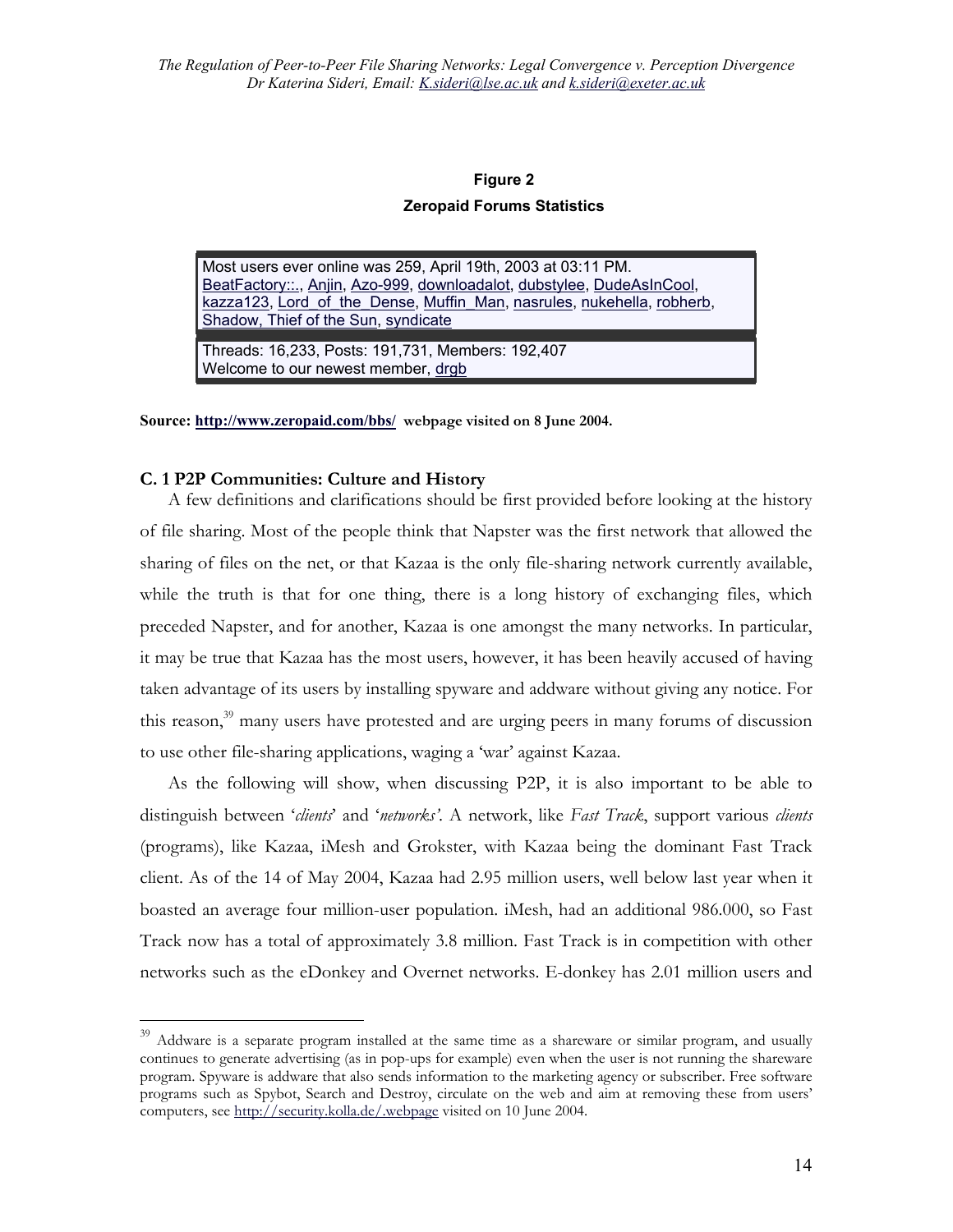### **Figure 2**

### **Zeropaid Forums Statistics**

Most users ever online was 259, April 19th, 2003 at 03:11 PM. [BeatFactory::.](http://www.zeropaid.com/bbs/member.php?u=139916), [Anjin](http://www.zeropaid.com/bbs/member.php?u=160552), [Azo-999](http://www.zeropaid.com/bbs/member.php?u=128523), [downloadalot,](http://www.zeropaid.com/bbs/member.php?u=154915) [dubstylee](http://www.zeropaid.com/bbs/member.php?u=3), [DudeAsInCool](http://www.zeropaid.com/bbs/member.php?u=164808), [kazza123](http://www.zeropaid.com/bbs/member.php?u=194142), Lord of the Dense, Muffin Man, [nasrules](http://www.zeropaid.com/bbs/member.php?u=129312), [nukehella,](http://www.zeropaid.com/bbs/member.php?u=108515) [robherb,](http://www.zeropaid.com/bbs/member.php?u=194215) [Shadow, Thief of the Sun](http://www.zeropaid.com/bbs/member.php?u=120474), [syndicate](http://www.zeropaid.com/bbs/member.php?u=170117)

Threads: 16,233, Posts: 191,731, Members: 192,407 Welcome to our newest member, [drgb](http://www.zeropaid.com/bbs/member.php?u=194216)

**Source:<http://www.zeropaid.com/bbs/> webpage visited on 8 June 2004.**

### **C. 1 P2P Communities: Culture and History**

 $\overline{a}$ 

A few definitions and clarifications should be first provided before looking at the history of file sharing. Most of the people think that Napster was the first network that allowed the sharing of files on the net, or that Kazaa is the only file-sharing network currently available, while the truth is that for one thing, there is a long history of exchanging files, which preceded Napster, and for another, Kazaa is one amongst the many networks. In particular, it may be true that Kazaa has the most users, however, it has been heavily accused of having taken advantage of its users by installing spyware and addware without giving any notice. For this reason,<sup>39</sup> many users have protested and are urging peers in many forums of discussion to use other file-sharing applications, waging a 'war' against Kazaa.

As the following will show, when discussing P2P, it is also important to be able to distinguish between '*clients*' and '*networks'*. A network, like *Fast Track*, support various *clients*  (programs), like Kazaa, iMesh and Grokster, with Kazaa being the dominant Fast Track client. As of the 14 of May 2004, Kazaa had 2.95 million users, well below last year when it boasted an average four million-user population. iMesh, had an additional 986.000, so Fast Track now has a total of approximately 3.8 million. Fast Track is in competition with other networks such as the eDonkey and Overnet networks. E-donkey has 2.01 million users and

<span id="page-13-0"></span><sup>&</sup>lt;sup>39</sup> Addware is a separate program installed at the same time as a shareware or similar program, and usually continues to generate advertising (as in pop-ups for example) even when the user is not running the shareware program. Spyware is addware that also sends information to the marketing agency or subscriber. Free software programs such as Spybot, Search and Destroy, circulate on the web and aim at removing these from users' computers, see <http://security.kolla.de/.webpage>visited on 10 June 2004.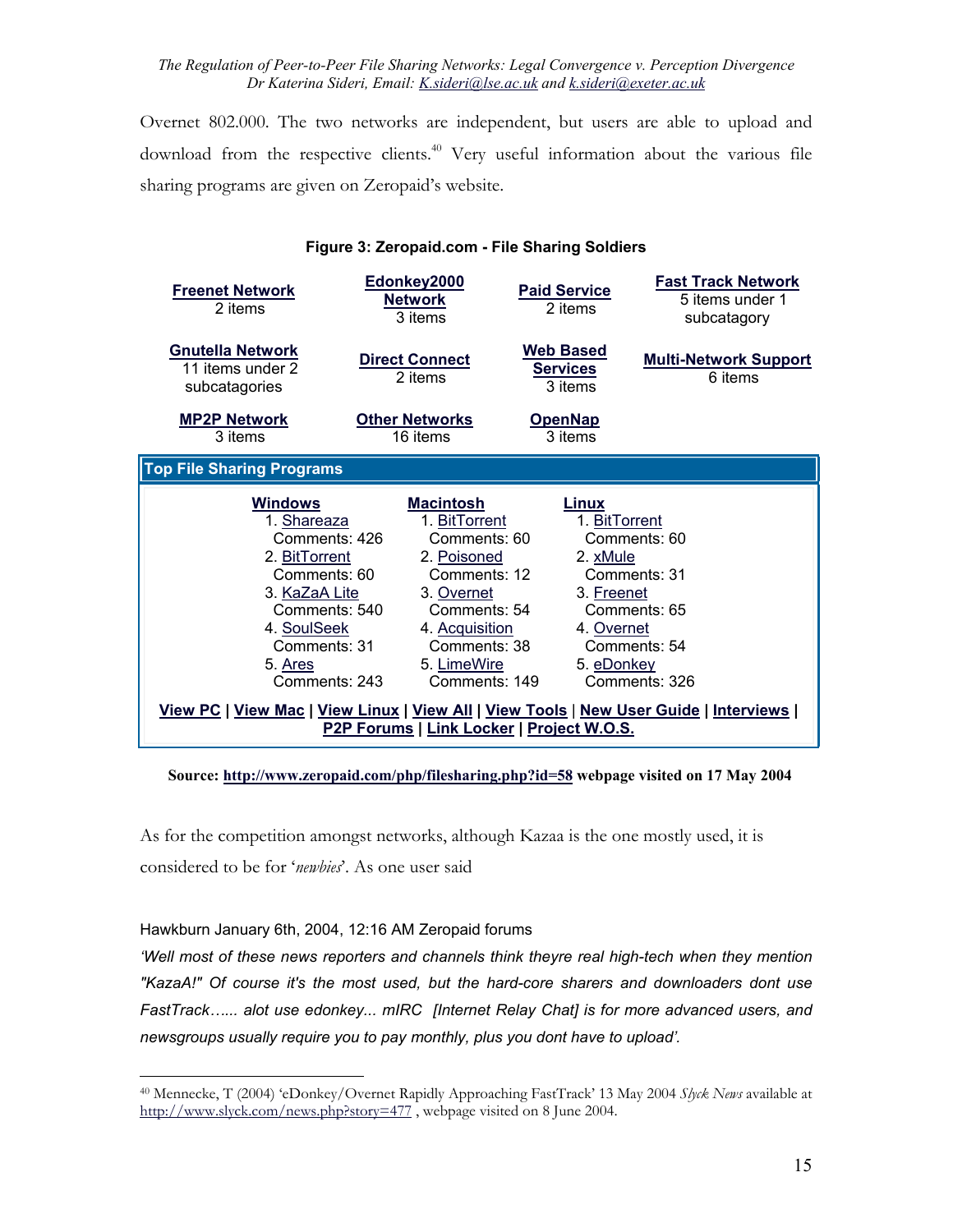Overnet 802.000. The two networks are independent, but users are able to upload and download from the respective clients.<sup>40</sup> Very useful information about the various file sharing programs are given on Zeropaid's website.

| Figure 3: Zeropaid.com - File Sharing Soldiers |  |  |
|------------------------------------------------|--|--|
|------------------------------------------------|--|--|

| <b>Freenet Network</b><br>2 items                                                                                                                                                                                                                                     | Edonkey2000<br><b>Network</b><br>3 items                                                                                                                                         | <b>Paid Service</b><br>2 items                                               | <b>Fast Track Network</b><br>5 items under 1<br>subcatagory                   |
|-----------------------------------------------------------------------------------------------------------------------------------------------------------------------------------------------------------------------------------------------------------------------|----------------------------------------------------------------------------------------------------------------------------------------------------------------------------------|------------------------------------------------------------------------------|-------------------------------------------------------------------------------|
| <b>Gnutella Network</b><br>11 items under 2<br>subcatagories                                                                                                                                                                                                          | <b>Direct Connect</b><br>2 items                                                                                                                                                 | Web Based<br><b>Services</b><br>3 items                                      | <b>Multi-Network Support</b><br>6 items                                       |
| <b>MP2P Network</b><br>3 items                                                                                                                                                                                                                                        | <b>Other Networks</b><br>16 items                                                                                                                                                | <b>OpenNap</b><br>3 items                                                    |                                                                               |
| <b>Top File Sharing Programs</b>                                                                                                                                                                                                                                      |                                                                                                                                                                                  |                                                                              |                                                                               |
| <b>Windows</b><br>1. Shareaza<br>Comments: 426<br>2. BitTorrent<br>Comments: 60<br>3. KaZaA Lite<br>Comments: 540<br>4. SoulSeek<br>Comments: 31<br>5. Ares<br>Comments: 243<br>View PC   View Mac   View Linux   View All   View Tools   New User Guide   Interviews | <b>Macintosh</b><br>1. BitTorrent<br>Comments: 60<br>2. Poisoned<br>Comments: 12<br>3. Overnet<br>Comments: 54<br>4. Acquisition<br>Comments: 38<br>5. LimeWire<br>Comments: 149 | Linux<br>1. BitTorrent<br>2. xMule<br>3. Freenet<br>4. Overnet<br>5. eDonkey | Comments: 60<br>Comments: 31<br>Comments: 65<br>Comments: 54<br>Comments: 326 |
|                                                                                                                                                                                                                                                                       | P2P Forums   Link Locker   Project W.O.S.                                                                                                                                        |                                                                              |                                                                               |

**Source:<http://www.zeropaid.com/php/filesharing.php?id=58> webpage visited on 17 May 2004** 

As for the competition amongst networks, although Kazaa is the one mostly used, it is considered to be for '*newbies*'. As one user said

Hawkburn January 6th, 2004, 12:16 AM Zeropaid forums

1

*'Well most of these news reporters and channels think theyre real high-tech when they mention "KazaA!" Of course it's the most used, but the hard-core sharers and downloaders dont use FastTrack…... alot use edonkey... mIRC [Internet Relay Chat] is for more advanced users, and newsgroups usually require you to pay monthly, plus you dont have to upload'.*

<span id="page-14-0"></span><sup>40</sup> Mennecke, T (2004) 'eDonkey/Overnet Rapidly Approaching FastTrack' 13 May 2004 *Slyck News* available at http://www.slyck.com/news.php?story=477, webpage visited on 8 June 2004.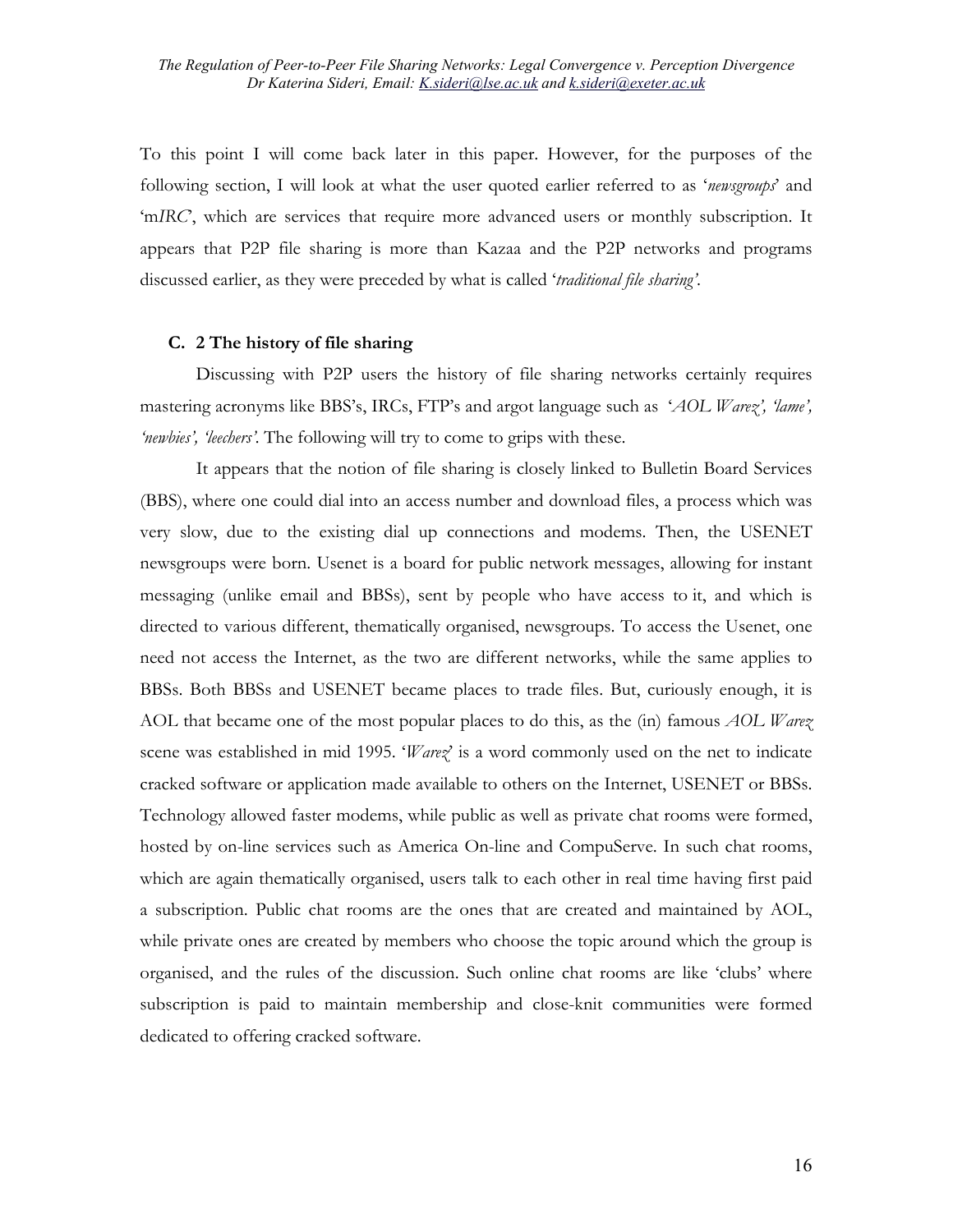To this point I will come back later in this paper. However, for the purposes of the following section, I will look at what the user quoted earlier referred to as '*newsgroups*' and 'm*IRC*', which are services that require more advanced users or monthly subscription. It appears that P2P file sharing is more than Kazaa and the P2P networks and programs discussed earlier, as they were preceded by what is called '*traditional file sharing'*.

### **C. 2 The history of file sharing**

Discussing with P2P users the history of file sharing networks certainly requires mastering acronyms like BBS's, IRCs, FTP's and argot language such as '*AOL Warez', 'lame', 'newbies', 'leechers'.* The following will try to come to grips with these.

It appears that the notion of file sharing is closely linked to Bulletin Board Services (BBS), where one could dial into an access number and download files, a process which was very slow, due to the existing dial up connections and modems. Then, the USENET newsgroups were born. Usenet is a board for public network messages, allowing for instant messaging (unlike email and BBSs), sent by people who have access to it, and which is directed to various different, thematically organised, newsgroups. To access the Usenet, one need not access the Internet, as the two are different networks, while the same applies to BBSs. Both BBSs and USENET became places to trade files. But, curiously enough, it is AOL that became one of the most popular places to do this, as the (in) famous *AOL Warez* scene was established in mid 1995. '*Warez*' is a word commonly used on the net to indicate cracked software or application made available to others on the Internet, USENET or BBSs. Technology allowed faster modems, while public as well as private chat rooms were formed, hosted by on-line services such as America On-line and CompuServe. In such chat rooms, which are again thematically organised, users talk to each other in real time having first paid a subscription. Public chat rooms are the ones that are created and maintained by AOL, while private ones are created by members who choose the topic around which the group is organised, and the rules of the discussion. Such online chat rooms are like 'clubs' where subscription is paid to maintain membership and close-knit communities were formed dedicated to offering cracked software.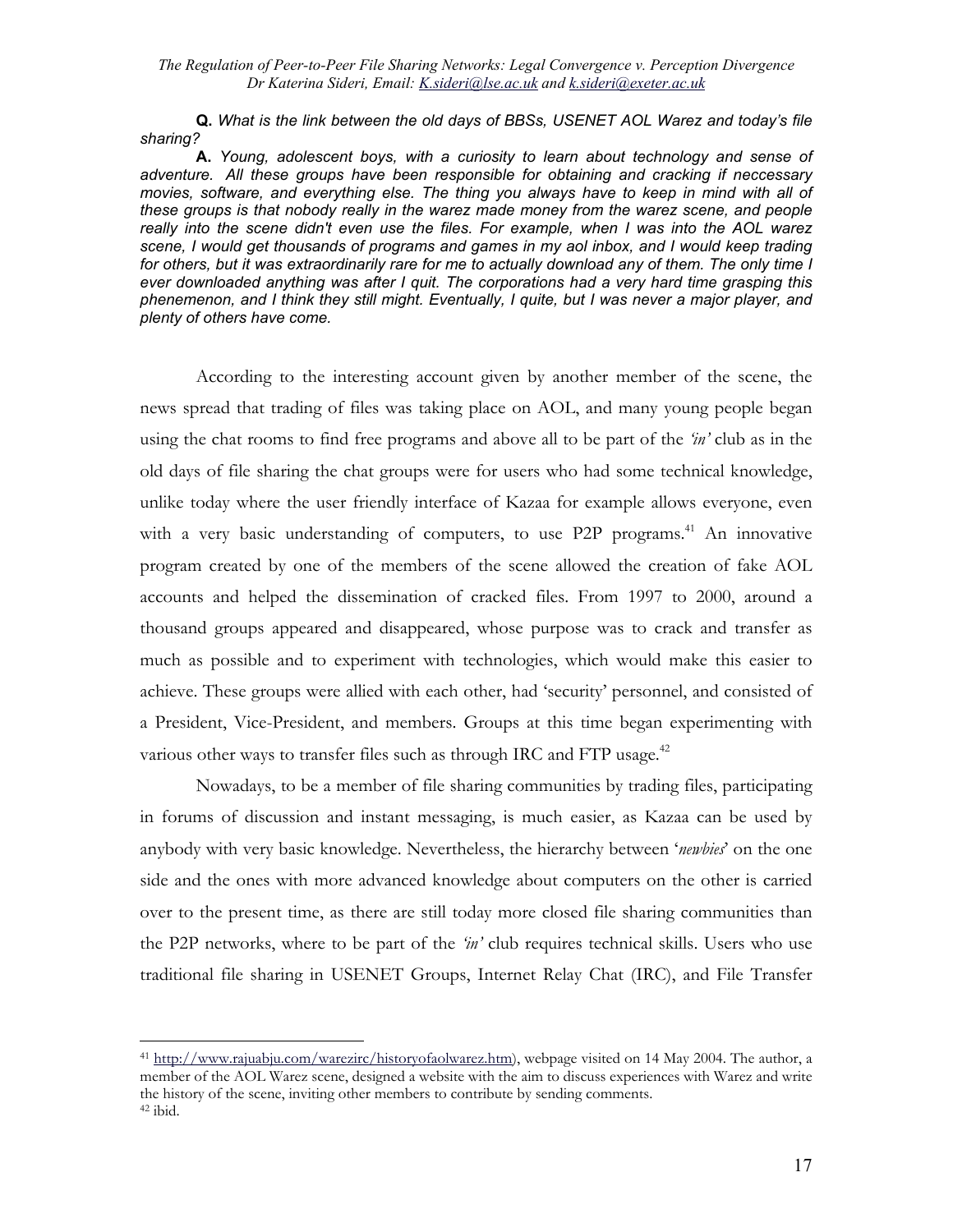**Q.** *What is the link between the old days of BBSs, USENET AOL Warez and today's file sharing?* 

**A.** *Young, adolescent boys, with a curiosity to learn about technology and sense of adventure. All these groups have been responsible for obtaining and cracking if neccessary movies, software, and everything else. The thing you always have to keep in mind with all of these groups is that nobody really in the warez made money from the warez scene, and people really into the scene didn't even use the files. For example, when I was into the AOL warez scene, I would get thousands of programs and games in my aol inbox, and I would keep trading for others, but it was extraordinarily rare for me to actually download any of them. The only time I ever downloaded anything was after I quit. The corporations had a very hard time grasping this phenemenon, and I think they still might. Eventually, I quite, but I was never a major player, and plenty of others have come.* 

According to the interesting account given by another member of the scene, the news spread that trading of files was taking place on AOL, and many young people began using the chat rooms to find free programs and above all to be part of the *'in'* club as in the old days of file sharing the chat groups were for users who had some technical knowledge, unlike today where the user friendly interface of Kazaa for example allows everyone, even with a very basic understanding of computers, to use  $P2P$  programs.<sup>41</sup> An innovative program created by one of the members of the scene allowed the creation of fake AOL accounts and helped the dissemination of cracked files. From 1997 to 2000, around a thousand groups appeared and disappeared, whose purpose was to crack and transfer as much as possible and to experiment with technologies, which would make this easier to achieve. These groups were allied with each other, had 'security' personnel, and consisted of a President, Vice-President, and members. Groups at this time began experimenting with various other ways to transfer files such as through IRC and FTP usage.<sup>42</sup>

Nowadays, to be a member of file sharing communities by trading files, participating in forums of discussion and instant messaging, is much easier, as Kazaa can be used by anybody with very basic knowledge. Nevertheless, the hierarchy between '*newbies*' on the one side and the ones with more advanced knowledge about computers on the other is carried over to the present time, as there are still today more closed file sharing communities than the P2P networks, where to be part of the *'in'* club requires technical skills. Users who use traditional file sharing in USENET Groups, Internet Relay Chat (IRC), and File Transfer

<span id="page-16-1"></span><span id="page-16-0"></span><sup>41</sup> <http://www.rajuabju.com/warezirc/historyofaolwarez.htm>), webpage visited on 14 May 2004. The author, a member of the AOL Warez scene, designed a website with the aim to discuss experiences with Warez and write the history of the scene, inviting other members to contribute by sending comments. 42 ibid.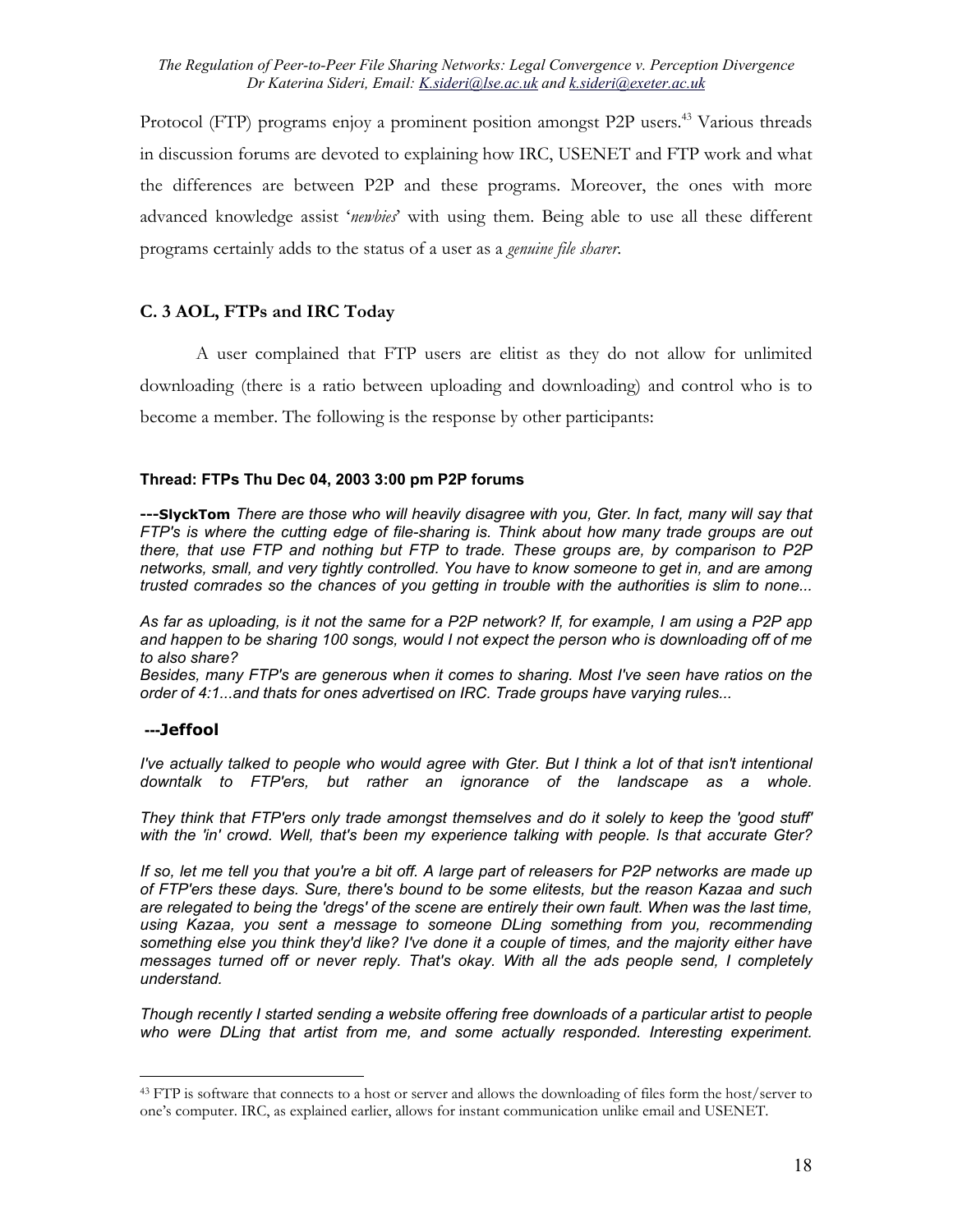Protocol (FTP) programs enjoy a prominent position amongst P2P users.<sup>43</sup> Various threads in discussion forums are devoted to explaining how IRC, USENET and FTP work and what the differences are between P2P and these programs. Moreover, the ones with more advanced knowledge assist '*newbies*' with using them. Being able to use all these different programs certainly adds to the status of a user as a *genuine file sharer*.

### **C. 3 AOL, FTPs and IRC Today**

A user complained that FTP users are elitist as they do not allow for unlimited downloading (there is a ratio between uploading and downloading) and control who is to become a member. The following is the response by other participants:

### **Thread: FTPs Thu Dec 04, 2003 3:00 pm P2P forums**

**---SlyckTom** *There are those who will heavily disagree with you, Gter. In fact, many will say that FTP's is where the cutting edge of file-sharing is. Think about how many trade groups are out there, that use FTP and nothing but FTP to trade. These groups are, by comparison to P2P networks, small, and very tightly controlled. You have to know someone to get in, and are among trusted comrades so the chances of you getting in trouble with the authorities is slim to none...* 

*As far as uploading, is it not the same for a P2P network? If, for example, I am using a P2P app and happen to be sharing 100 songs, would I not expect the person who is downloading off of me to also share?* 

*Besides, many FTP's are generous when it comes to sharing. Most I've seen have ratios on the order of 4:1...and thats for ones advertised on IRC. Trade groups have varying rules...*

#### **---Jeffool**

 $\overline{a}$ 

*I've actually talked to people who would agree with Gter. But I think a lot of that isn't intentional downtalk to FTP'ers, but rather an ignorance of the landscape as a whole.* 

*They think that FTP'ers only trade amongst themselves and do it solely to keep the 'good stuff' with the 'in' crowd. Well, that's been my experience talking with people. Is that accurate Gter?* 

*If so, let me tell you that you're a bit off. A large part of releasers for P2P networks are made up of FTP'ers these days. Sure, there's bound to be some elitests, but the reason Kazaa and such*  are relegated to being the 'dregs' of the scene are entirely their own fault. When was the last time, *using Kazaa, you sent a message to someone DLing something from you, recommending something else you think they'd like? I've done it a couple of times, and the majority either have messages turned off or never reply. That's okay. With all the ads people send, I completely understand.* 

*Though recently I started sending a website offering free downloads of a particular artist to people who were DLing that artist from me, and some actually responded. Interesting experiment.* 

<span id="page-17-0"></span><sup>&</sup>lt;sup>43</sup> FTP is software that connects to a host or server and allows the downloading of files form the host/server to one's computer. IRC, as explained earlier, allows for instant communication unlike email and USENET.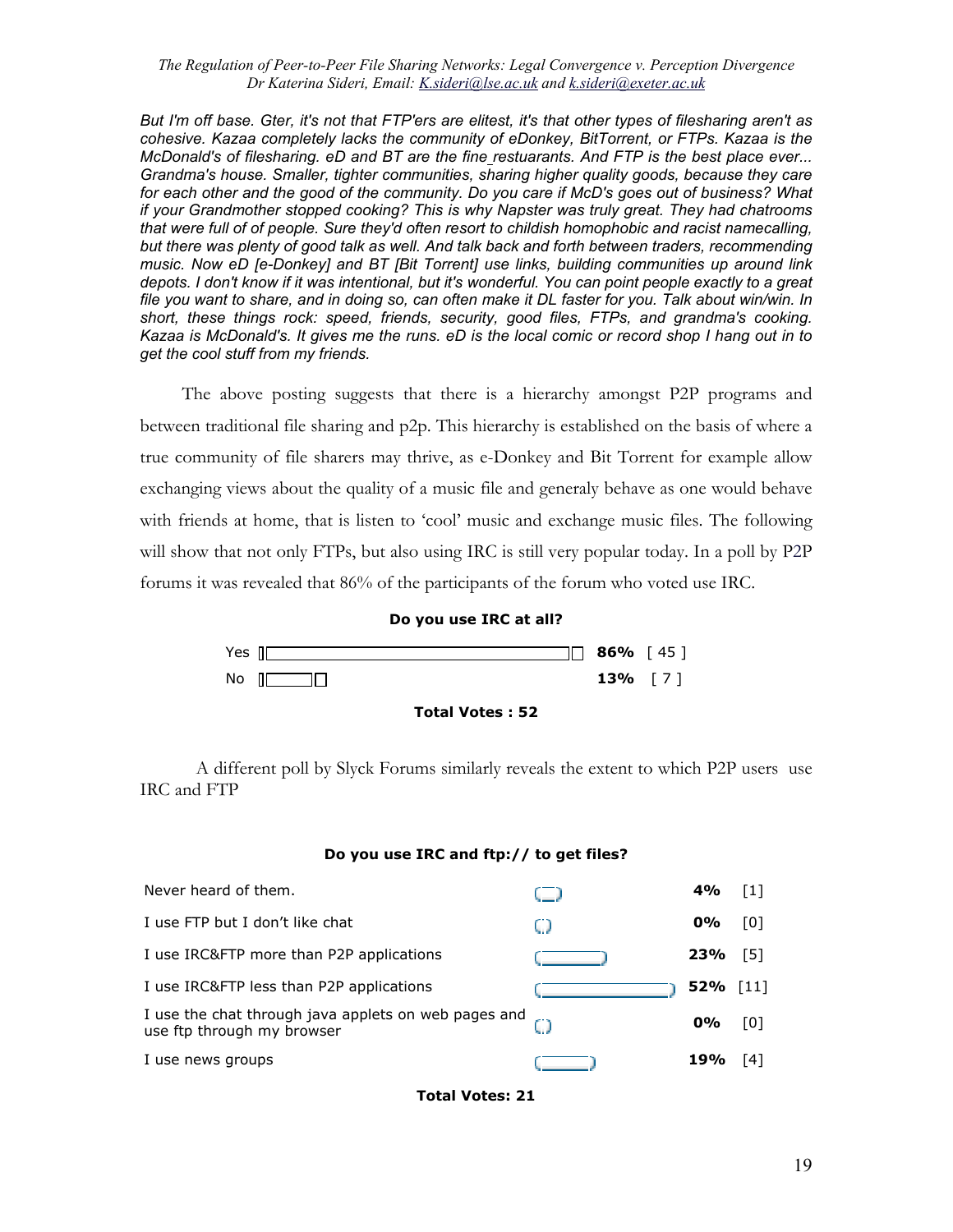*But I'm off base. Gter, it's not that FTP'ers are elitest, it's that other types of filesharing aren't as cohesive. Kazaa completely lacks the community of eDonkey, BitTorrent, or FTPs. Kazaa is the McDonald's of filesharing. eD and BT are the fine restuarants. And FTP is the best place ever... Grandma's house. Smaller, tighter communities, sharing higher quality goods, because they care for each other and the good of the community. Do you care if McD's goes out of business? What if your Grandmother stopped cooking? This is why Napster was truly great. They had chatrooms that were full of of people. Sure they'd often resort to childish homophobic and racist namecalling, but there was plenty of good talk as well. And talk back and forth between traders, recommending music. Now eD [e-Donkey] and BT [Bit Torrent] use links, building communities up around link depots. I don't know if it was intentional, but it's wonderful. You can point people exactly to a great file you want to share, and in doing so, can often make it DL faster for you. Talk about win/win. In short, these things rock: speed, friends, security, good files, FTPs, and grandma's cooking. Kazaa is McDonald's. It gives me the runs. eD is the local comic or record shop I hang out in to get the cool stuff from my friends.*

The above posting suggests that there is a hierarchy amongst P2P programs and between traditional file sharing and p2p. This hierarchy is established on the basis of where a true community of file sharers may thrive, as e-Donkey and Bit Torrent for example allow exchanging views about the quality of a music file and generaly behave as one would behave with friends at home, that is listen to 'cool' music and exchange music files. The following will show that not only FTPs, but also using IRC is still very popular today. In a poll by P2P forums it was revealed that 86% of the participants of the forum who voted use IRC.



A different poll by Slyck Forums similarly reveals the extent to which P2P users use IRC and FTP

#### **Do you use IRC and ftp:// to get files?**

| Never heard of them.                                                                              |     | 4%         | $\lceil 1 \rceil$ |
|---------------------------------------------------------------------------------------------------|-----|------------|-------------------|
| I use FTP but I don't like chat                                                                   | U.J | $0\%$      | [0]               |
| I use IRC&FTP more than P2P applications                                                          |     | 23%        | [5]               |
| I use IRC&FTP less than P2P applications                                                          |     | 52% $[11]$ |                   |
| I use the chat through java applets on web pages and $\mathbb{R}^n$<br>use ftp through my browser |     | $0\%$      | [0]               |
| I use news groups                                                                                 |     | 19%        | [4]               |

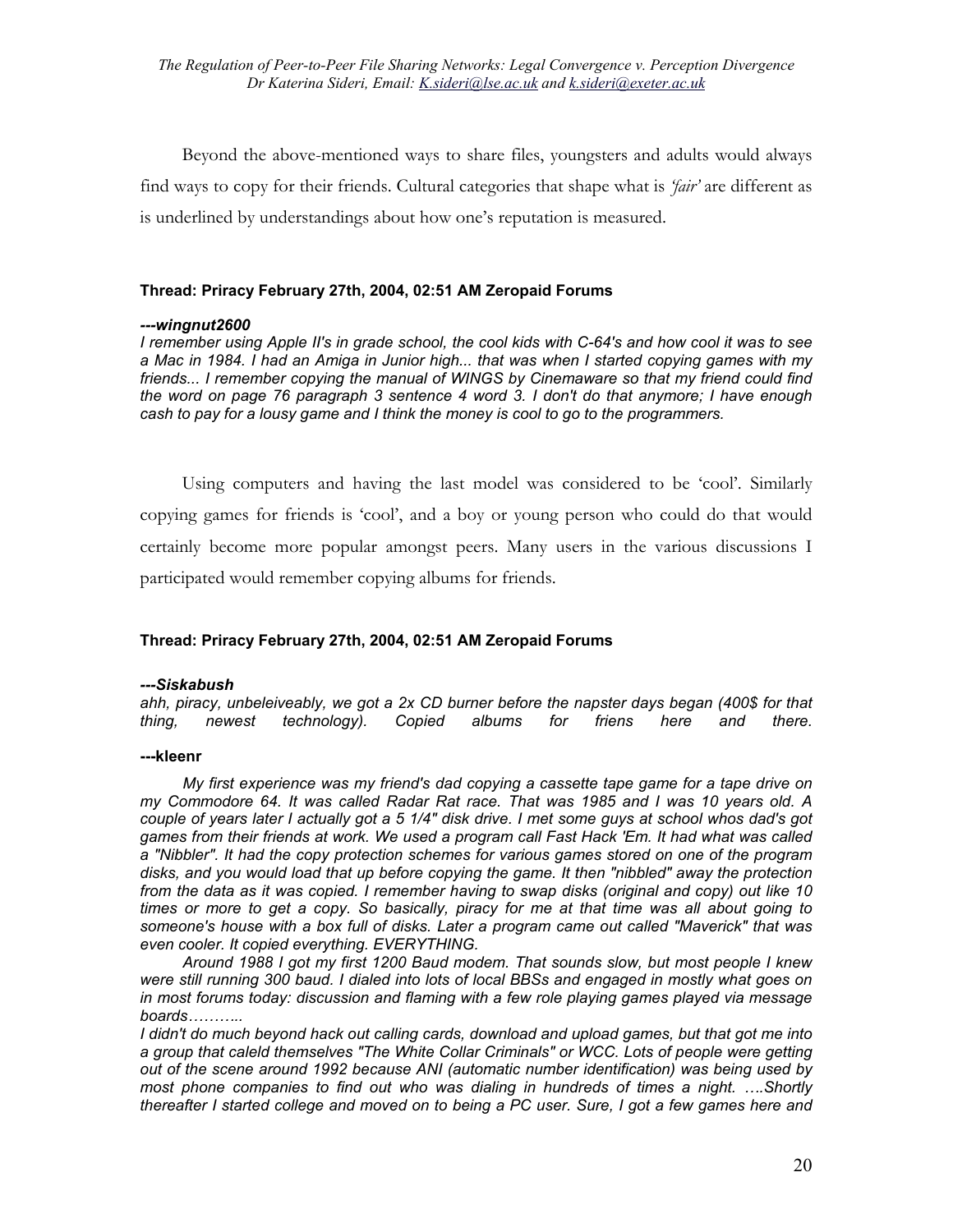Beyond the above-mentioned ways to share files, youngsters and adults would always find ways to copy for their friends. Cultural categories that shape what is *'fair'* are different as is underlined by understandings about how one's reputation is measured.

### **Thread: Priracy February 27th, 2004, 02:51 AM Zeropaid Forums**

### *---wingnut2600*

*I remember using Apple II's in grade school, the cool kids with C-64's and how cool it was to see a Mac in 1984. I had an Amiga in Junior high... that was when I started copying games with my friends... I remember copying the manual of WINGS by Cinemaware so that my friend could find the word on page 76 paragraph 3 sentence 4 word 3. I don't do that anymore; I have enough cash to pay for a lousy game and I think the money is cool to go to the programmers.* 

Using computers and having the last model was considered to be 'cool'. Similarly copying games for friends is 'cool', and a boy or young person who could do that would certainly become more popular amongst peers. Many users in the various discussions I participated would remember copying albums for friends.

### **Thread: Priracy February 27th, 2004, 02:51 AM Zeropaid Forums**

### *---Siskabush*

*ahh, piracy, unbeleiveably, we got a 2x CD burner before the napster days began (400\$ for that thing, newest technology). Copied albums for friens here and there.*

#### **---kleenr**

*My first experience was my friend's dad copying a cassette tape game for a tape drive on my Commodore 64. It was called Radar Rat race. That was 1985 and I was 10 years old. A couple of years later I actually got a 5 1/4" disk drive. I met some guys at school whos dad's got games from their friends at work. We used a program call Fast Hack 'Em. It had what was called a "Nibbler". It had the copy protection schemes for various games stored on one of the program disks, and you would load that up before copying the game. It then "nibbled" away the protection from the data as it was copied. I remember having to swap disks (original and copy) out like 10 times or more to get a copy. So basically, piracy for me at that time was all about going to someone's house with a box full of disks. Later a program came out called "Maverick" that was even cooler. It copied everything. EVERYTHING.* 

*Around 1988 I got my first 1200 Baud modem. That sounds slow, but most people I knew were still running 300 baud. I dialed into lots of local BBSs and engaged in mostly what goes on in most forums today: discussion and flaming with a few role playing games played via message boards………..* 

*I didn't do much beyond hack out calling cards, download and upload games, but that got me into a group that caleld themselves "The White Collar Criminals" or WCC. Lots of people were getting out of the scene around 1992 because ANI (automatic number identification) was being used by most phone companies to find out who was dialing in hundreds of times a night. ….Shortly thereafter I started college and moved on to being a PC user. Sure, I got a few games here and*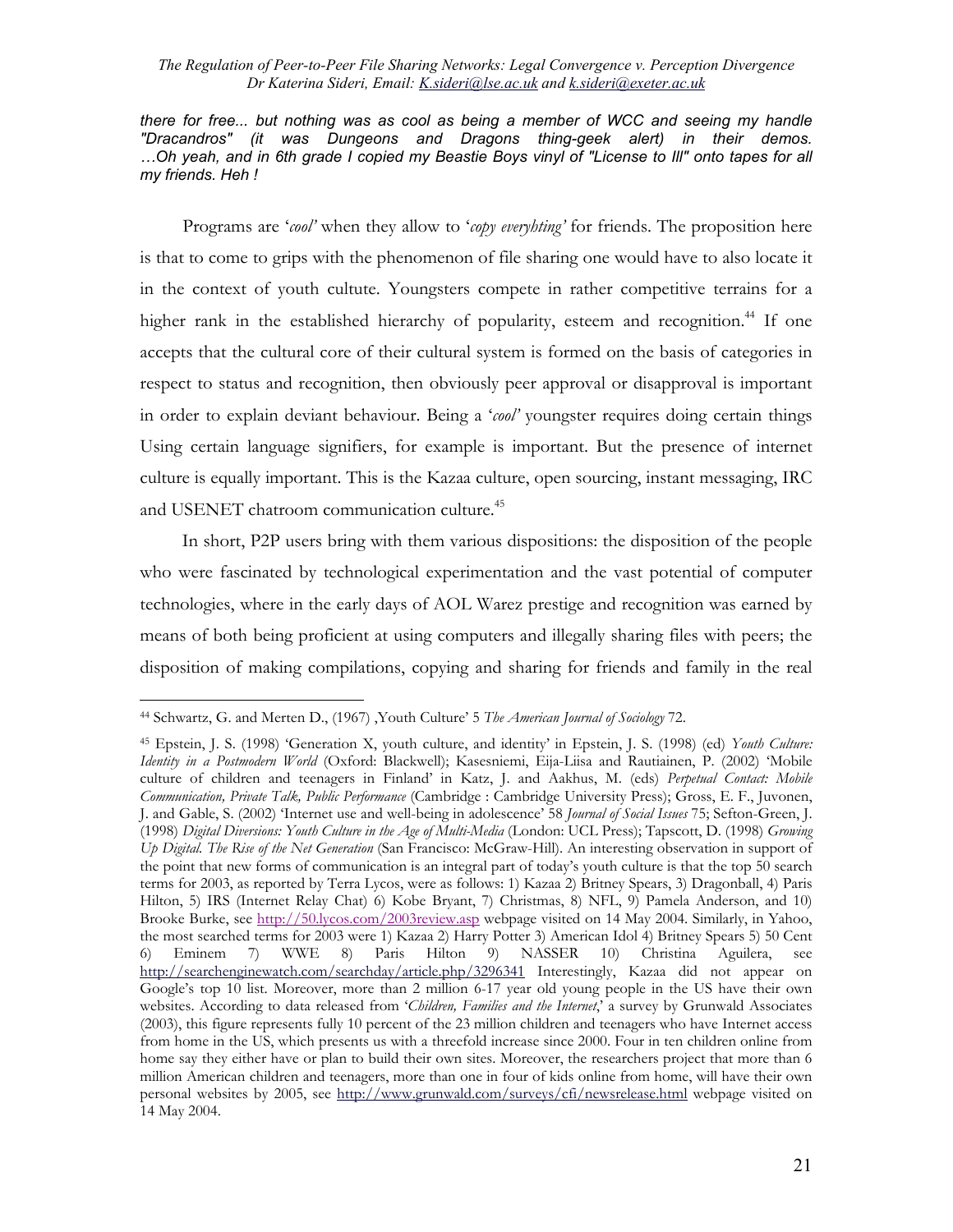*there for free... but nothing was as cool as being a member of WCC and seeing my handle "Dracandros" (it was Dungeons and Dragons thing-geek alert) in their demos. …Oh yeah, and in 6th grade I copied my Beastie Boys vinyl of "License to Ill" onto tapes for all my friends. Heh !*

Programs are '*cool'* when they allow to '*copy everyhting'* for friends. The proposition here is that to come to grips with the phenomenon of file sharing one would have to also locate it in the context of youth cultute. Youngsters compete in rather competitive terrains for a higher rank in the established hierarchy of popularity, esteem and recognition.<sup>44</sup> If one accepts that the cultural core of their cultural system is formed on the basis of categories in respect to status and recognition, then obviously peer approval or disapproval is important in order to explain deviant behaviour. Being a '*cool'* youngster requires doing certain things Using certain language signifiers, for example is important. But the presence of internet culture is equally important. This is the Kazaa culture, open sourcing, instant messaging, IRC and USENET chatroom communication culture.<sup>45</sup>

In short, P2P users bring with them various dispositions: the disposition of the people who were fascinated by technological experimentation and the vast potential of computer technologies, where in the early days of AOL Warez prestige and recognition was earned by means of both being proficient at using computers and illegally sharing files with peers; the disposition of making compilations, copying and sharing for friends and family in the real

<span id="page-20-0"></span> $\overline{a}$ <sup>44</sup> Schwartz, G. and Merten D., (1967) , Youth Culture' 5 The American Journal of Sociology 72.

<span id="page-20-1"></span><sup>45</sup> Epstein, J. S. (1998) 'Generation X, youth culture, and identity' in Epstein, J. S. (1998) (ed) *Youth Culture: Identity in a Postmodern World* (Oxford: Blackwell); Kasesniemi, Eija-Liisa and Rautiainen, P. (2002) 'Mobile culture of children and teenagers in Finland' in Katz, J. and Aakhus, M. (eds) *Perpetual Contact: Mobile Communication, Private Talk, Public Performance* (Cambridge : Cambridge University Press); Gross, E. F., Juvonen, J. and Gable, S. (2002) 'Internet use and well-being in adolescence' 58 *Journal of Social Issues* 75; Sefton-Green, J. (1998) *Digital Diversions: Youth Culture in the Age of Multi-Media* (London: UCL Press); Tapscott, D. (1998) *Growing Up Digital. The Rise of the Net Generation* (San Francisco: McGraw-Hill). An interesting observation in support of the point that new forms of communication is an integral part of today's youth culture is that the top 50 search terms for 2003, as reported by Terra Lycos, were as follows: 1) Kazaa 2) Britney Spears, 3) Dragonball, 4) Paris Hilton, 5) IRS (Internet Relay Chat) 6) Kobe Bryant, 7) Christmas, 8) NFL, 9) Pamela Anderson, and 10) Brooke Burke, see <http://50.lycos.com/2003review.asp> webpage visited on 14 May 2004. Similarly, in Yahoo, the most searched terms for 2003 were 1) Kazaa 2) Harry Potter 3) American Idol 4) Britney Spears 5) 50 Cent 6) Eminem 7) WWE 8) Paris Hilton 9) NASSER 10) Christina Aguilera, see <http://searchenginewatch.com/searchday/article.php/3296341> Interestingly, Kazaa did not appear on Google's top 10 list. Moreover, more than 2 million 6-17 year old young people in the US have their own websites. According to data released from '*Children, Families and the Internet*,' a survey by Grunwald Associates (2003), this figure represents fully 10 percent of the 23 million children and teenagers who have Internet access from home in the US, which presents us with a threefold increase since 2000. Four in ten children online from home say they either have or plan to build their own sites. Moreover, the researchers project that more than 6 million American children and teenagers, more than one in four of kids online from home, will have their own personal websites by 2005, see <http://www.grunwald.com/surveys/cfi/newsrelease.html>webpage visited on 14 May 2004.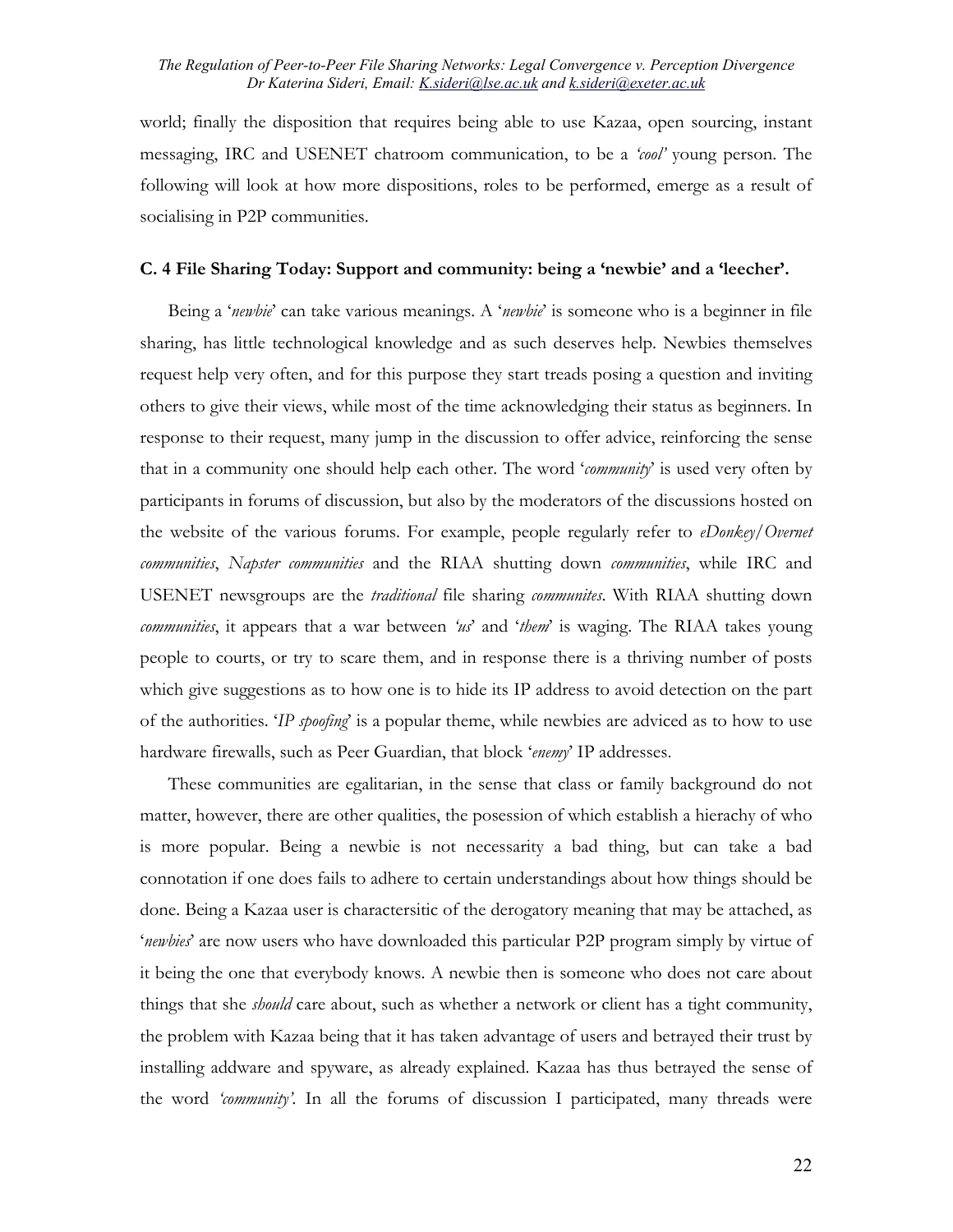world; finally the disposition that requires being able to use Kazaa, open sourcing, instant messaging, IRC and USENET chatroom communication, to be a *'cool'* young person. The following will look at how more dispositions, roles to be performed, emerge as a result of socialising in P2P communities.

#### **C. 4 File Sharing Today: Support and community: being a 'newbie' and a 'leecher'.**

Being a '*newbie*' can take various meanings. A '*newbie*' is someone who is a beginner in file sharing, has little technological knowledge and as such deserves help. Newbies themselves request help very often, and for this purpose they start treads posing a question and inviting others to give their views, while most of the time acknowledging their status as beginners. In response to their request, many jump in the discussion to offer advice, reinforcing the sense that in a community one should help each other. The word '*community*' is used very often by participants in forums of discussion, but also by the moderators of the discussions hosted on the website of the various forums. For example, people regularly refer to *eDonkey/Overnet communities*, *Napster communities* and the RIAA shutting down *communities*, while IRC and USENET newsgroups are the *traditional* file sharing *communites*. With RIAA shutting down *communities*, it appears that a war between *'us*' and '*them*' is waging. The RIAA takes young people to courts, or try to scare them, and in response there is a thriving number of posts which give suggestions as to how one is to hide its IP address to avoid detection on the part of the authorities. '*IP spoofing*' is a popular theme, while newbies are adviced as to how to use hardware firewalls, such as Peer Guardian, that block '*enemy*' IP addresses.

These communities are egalitarian, in the sense that class or family background do not matter, however, there are other qualities, the posession of which establish a hierachy of who is more popular. Being a newbie is not necessarity a bad thing, but can take a bad connotation if one does fails to adhere to certain understandings about how things should be done. Being a Kazaa user is charactersitic of the derogatory meaning that may be attached, as '*newbies*' are now users who have downloaded this particular P2P program simply by virtue of it being the one that everybody knows. A newbie then is someone who does not care about things that she *should* care about, such as whether a network or client has a tight community, the problem with Kazaa being that it has taken advantage of users and betrayed their trust by installing addware and spyware, as already explained. Kazaa has thus betrayed the sense of the word *'community'.* In all the forums of discussion I participated, many threads were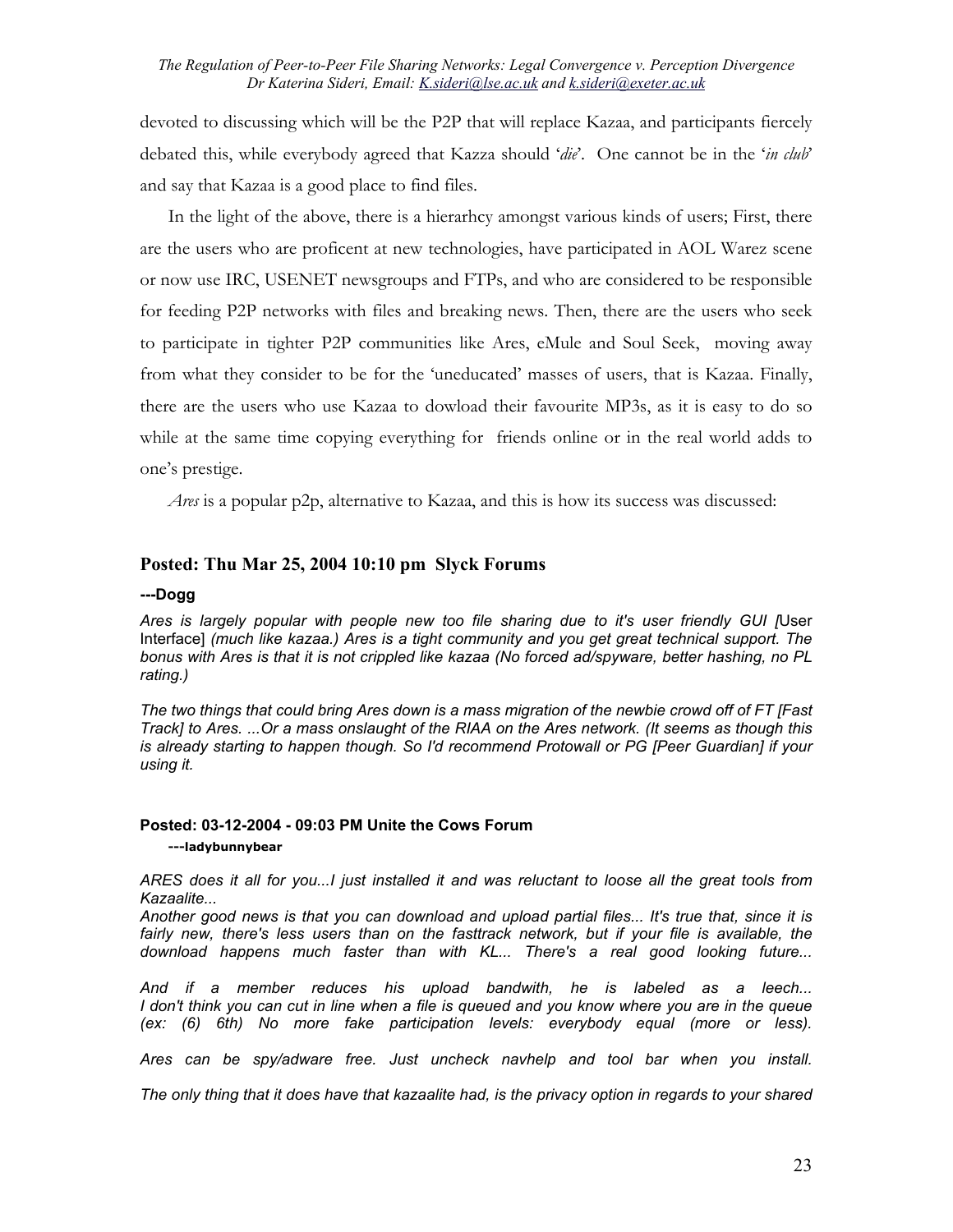devoted to discussing which will be the P2P that will replace Kazaa, and participants fiercely debated this, while everybody agreed that Kazza should '*die*'. One cannot be in the '*in club*' and say that Kazaa is a good place to find files.

In the light of the above, there is a hierarhcy amongst various kinds of users; First, there are the users who are proficent at new technologies, have participated in AOL Warez scene or now use IRC, USENET newsgroups and FTPs, and who are considered to be responsible for feeding P2P networks with files and breaking news. Then, there are the users who seek to participate in tighter P2P communities like Ares, eMule and Soul Seek, moving away from what they consider to be for the 'uneducated' masses of users, that is Kazaa. Finally, there are the users who use Kazaa to dowload their favourite MP3s, as it is easy to do so while at the same time copying everything for friends online or in the real world adds to one's prestige.

*Ares* is a popular p2p, alternative to Kazaa, and this is how its success was discussed:

### **Posted: Thu Mar 25, 2004 10:10 pm Slyck Forums**

#### **---Dogg**

*Ares is largely popular with people new too file sharing due to it's user friendly GUI [*User Interface] *(much like kazaa.) Ares is a tight community and you get great technical support. The bonus with Ares is that it is not crippled like kazaa (No forced ad/spyware, better hashing, no PL rating.)* 

*The two things that could bring Ares down is a mass migration of the newbie crowd off of FT [Fast Track] to Ares. ...Or a mass onslaught of the RIAA on the Ares network. (It seems as though this is already starting to happen though. So I'd recommend Protowall or PG [Peer Guardian] if your using it.* 

#### **Posted: 03-12-2004 - 09:03 PM Unite the Cows Forum ---ladybunnybear**

*ARES does it all for you...I just installed it and was reluctant to loose all the great tools from Kazaalite...* 

*Another good news is that you can download and upload partial files... It's true that, since it is*  fairly new, there's less users than on the fasttrack network, but if your file is available, the *download happens much faster than with KL... There's a real good looking future...* 

*And if a member reduces his upload bandwith, he is labeled as a leech... I don't think you can cut in line when a file is queued and you know where you are in the queue (ex: (6) 6th) No more fake participation levels: everybody equal (more or less).* 

*Ares can be spy/adware free. Just uncheck navhelp and tool bar when you install.* 

*The only thing that it does have that kazaalite had, is the privacy option in regards to your shared*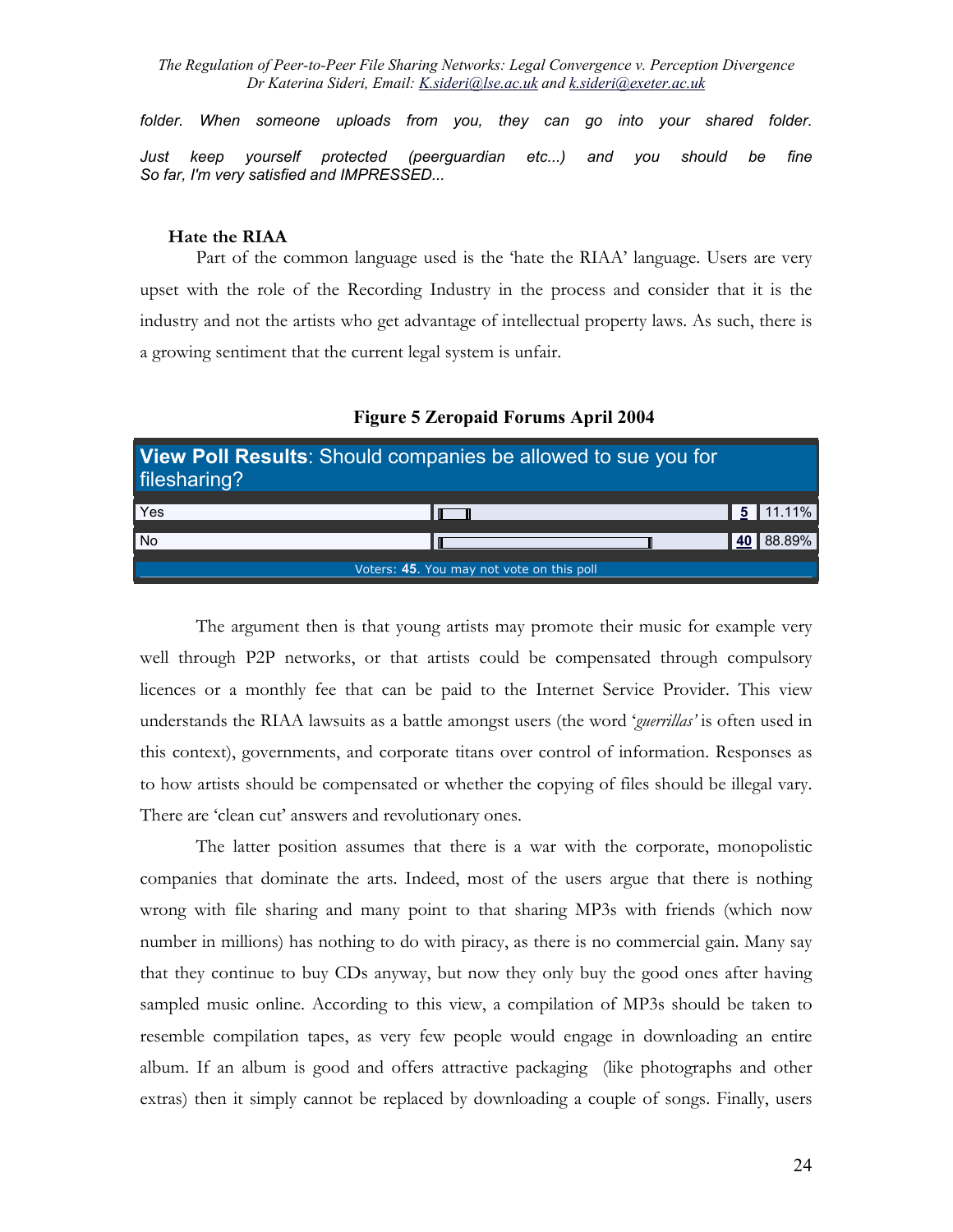*folder. When someone uploads from you, they can go into your shared folder. Just keep yourself protected (peerguardian etc...) and you should be fine So far, I'm very satisfied and IMPRESSED...*

#### **Hate the RIAA**

Part of the common language used is the 'hate the RIAA' language. Users are very upset with the role of the Recording Industry in the process and consider that it is the industry and not the artists who get advantage of intellectual property laws. As such, there is a growing sentiment that the current legal system is unfair.

| View Poll Results: Should companies be allowed to sue you for<br>filesharing? |                                           |                  |
|-------------------------------------------------------------------------------|-------------------------------------------|------------------|
| Yes                                                                           |                                           | $\bullet$ 11.11% |
| <b>No</b>                                                                     |                                           | 40 88.89%        |
|                                                                               | Voters: 45. You may not vote on this poll |                  |

**Figure 5 Zeropaid Forums April 2004** 

The argument then is that young artists may promote their music for example very well through P2P networks, or that artists could be compensated through compulsory licences or a monthly fee that can be paid to the Internet Service Provider. This view understands the RIAA lawsuits as a battle amongst users (the word '*guerrillas'* is often used in this context), governments, and corporate titans over control of information. Responses as to how artists should be compensated or whether the copying of files should be illegal vary. There are 'clean cut' answers and revolutionary ones.

The latter position assumes that there is a war with the corporate, monopolistic companies that dominate the arts. Indeed, most of the users argue that there is nothing wrong with file sharing and many point to that sharing MP3s with friends (which now number in millions) has nothing to do with piracy, as there is no commercial gain. Many say that they continue to buy CDs anyway, but now they only buy the good ones after having sampled music online. According to this view, a compilation of MP3s should be taken to resemble compilation tapes, as very few people would engage in downloading an entire album. If an album is good and offers attractive packaging (like photographs and other extras) then it simply cannot be replaced by downloading a couple of songs. Finally, users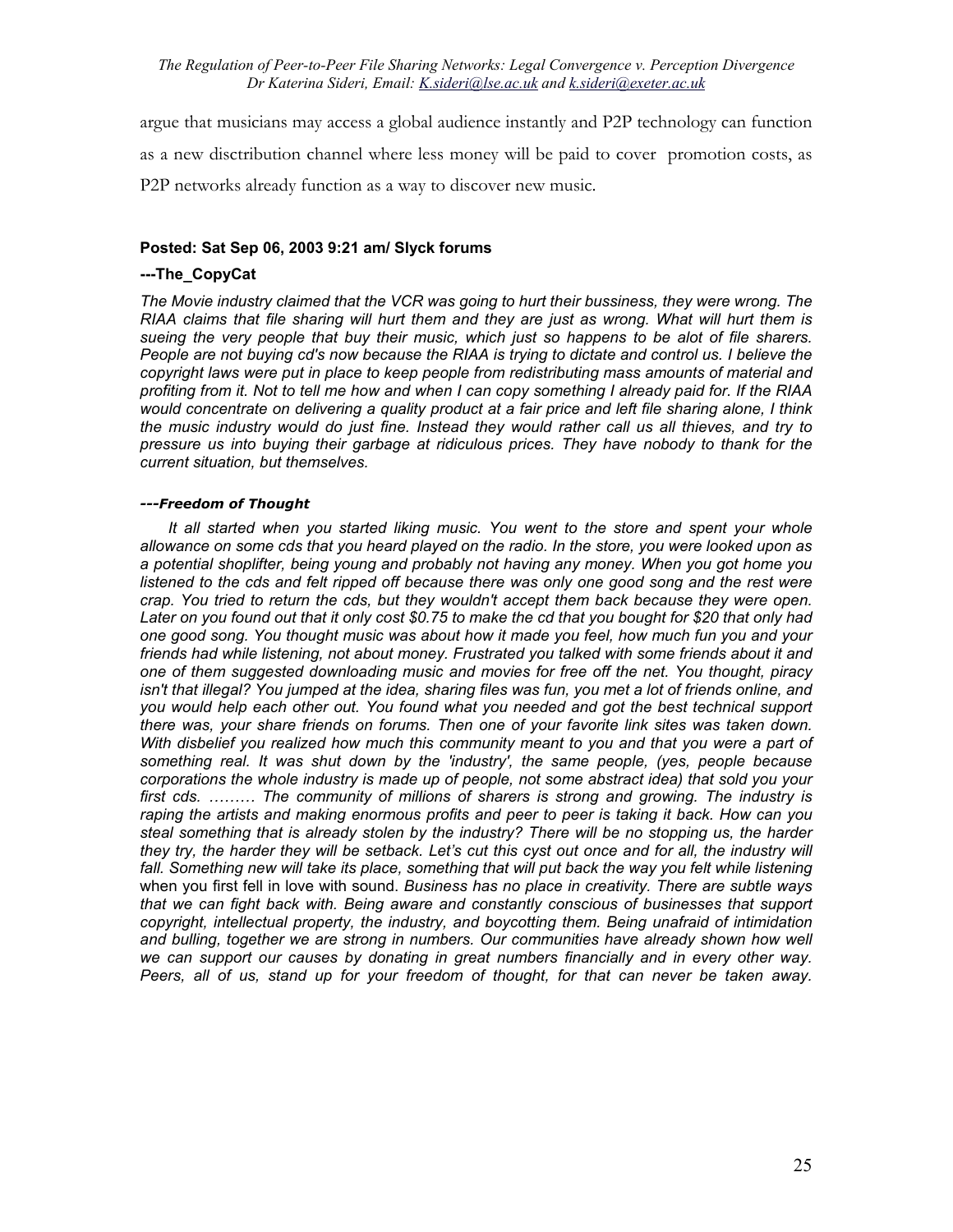argue that musicians may access a global audience instantly and P2P technology can function as a new disctribution channel where less money will be paid to cover promotion costs, as P2P networks already function as a way to discover new music.

### **Posted: Sat Sep 06, 2003 9:21 am/ Slyck forums**

### **---The\_CopyCat**

*The Movie industry claimed that the VCR was going to hurt their bussiness, they were wrong. The RIAA claims that file sharing will hurt them and they are just as wrong. What will hurt them is sueing the very people that buy their music, which just so happens to be alot of file sharers. People are not buying cd's now because the RIAA is trying to dictate and control us. I believe the copyright laws were put in place to keep people from redistributing mass amounts of material and profiting from it. Not to tell me how and when I can copy something I already paid for. If the RIAA would concentrate on delivering a quality product at a fair price and left file sharing alone, I think the music industry would do just fine. Instead they would rather call us all thieves, and try to pressure us into buying their garbage at ridiculous prices. They have nobody to thank for the current situation, but themselves.* 

#### *---Freedom of Thought*

*It all started when you started liking music. You went to the store and spent your whole allowance on some cds that you heard played on the radio. In the store, you were looked upon as a potential shoplifter, being young and probably not having any money. When you got home you*  listened to the cds and felt ripped off because there was only one good song and the rest were *crap. You tried to return the cds, but they wouldn't accept them back because they were open.*  Later on you found out that it only cost \$0.75 to make the cd that you bought for \$20 that only had *one good song. You thought music was about how it made you feel, how much fun you and your friends had while listening, not about money. Frustrated you talked with some friends about it and one of them suggested downloading music and movies for free off the net. You thought, piracy*  isn't that illegal? You jumped at the idea, sharing files was fun, you met a lot of friends online, and *you would help each other out. You found what you needed and got the best technical support there was, your share friends on forums. Then one of your favorite link sites was taken down. With disbelief you realized how much this community meant to you and that you were a part of something real. It was shut down by the 'industry', the same people, (yes, people because corporations the whole industry is made up of people, not some abstract idea) that sold you your first cds. ……… The community of millions of sharers is strong and growing. The industry is raping the artists and making enormous profits and peer to peer is taking it back. How can you steal something that is already stolen by the industry? There will be no stopping us, the harder they try, the harder they will be setback. Let's cut this cyst out once and for all, the industry will fall. Something new will take its place, something that will put back the way you felt while listening* when you first fell in love with sound. *Business has no place in creativity. There are subtle ways that we can fight back with. Being aware and constantly conscious of businesses that support copyright, intellectual property, the industry, and boycotting them. Being unafraid of intimidation*  and bulling, together we are strong in numbers. Our communities have already shown how well we can support our causes by donating in great numbers financially and in every other way. *Peers, all of us, stand up for your freedom of thought, for that can never be taken away.*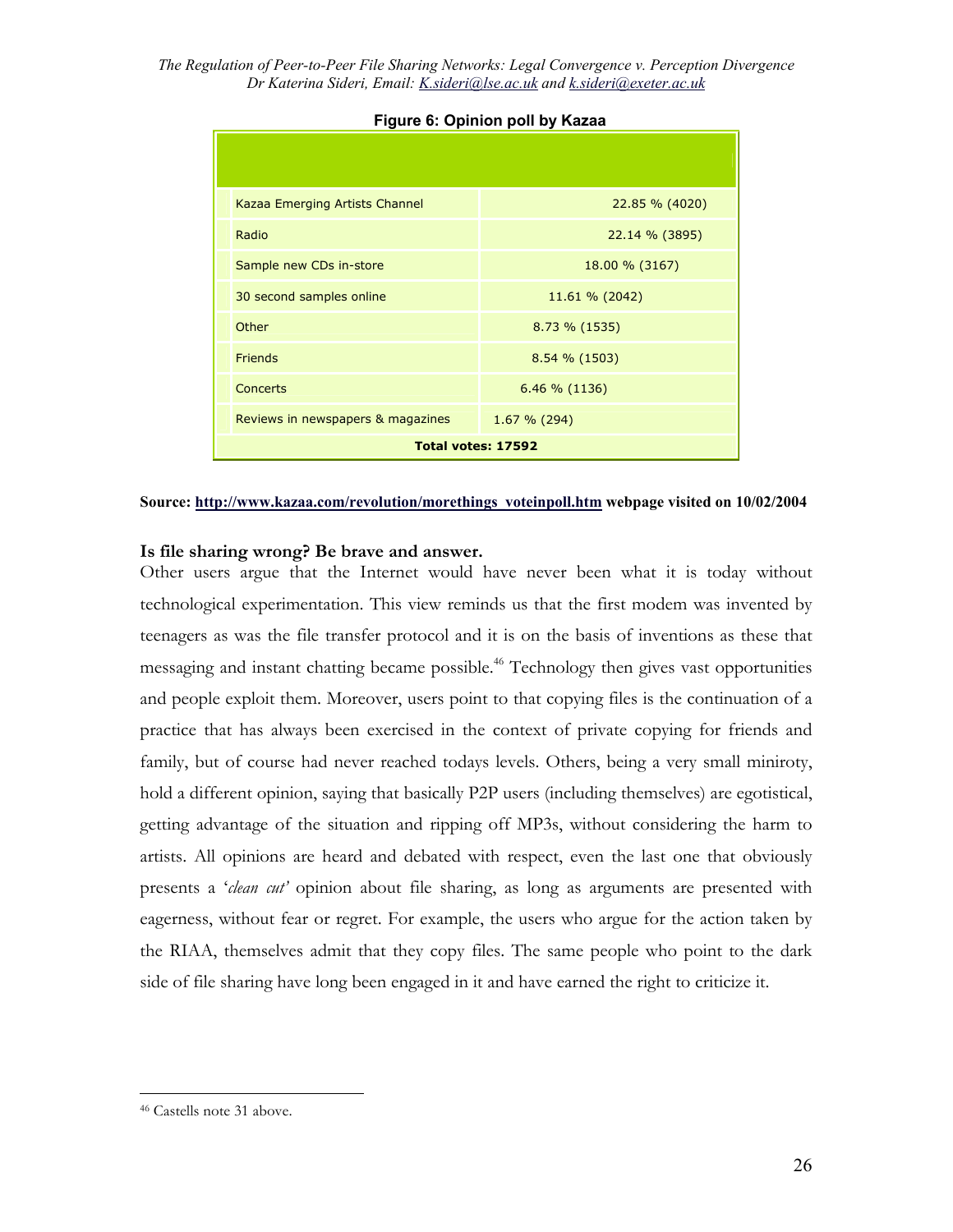| Kazaa Emerging Artists Channel    | 22.85 % (4020)    |  |
|-----------------------------------|-------------------|--|
| Radio                             | $22.14 \% (3895)$ |  |
| Sample new CDs in-store           | 18.00 % (3167)    |  |
| 30 second samples online          | 11.61 % (2042)    |  |
| Other                             | 8.73 % (1535)     |  |
| <b>Friends</b>                    | $8.54\%$ (1503)   |  |
| <b>Concerts</b>                   | 6.46 % (1136)     |  |
| Reviews in newspapers & magazines | $1.67 \% (294)$   |  |
| <b>Total votes: 17592</b>         |                   |  |

### **Figure 6: Opinion poll by Kazaa**

#### **Source: [http://www.kazaa.com/revolution/morethings\\_voteinpoll.htm](http://www.kazaa.com/revolution/morethings_voteinpoll.htm) webpage visited on 10/02/2004**

### **Is file sharing wrong? Be brave and answer.**

Other users argue that the Internet would have never been what it is today without technological experimentation. This view reminds us that the first modem was invented by teenagers as was the file transfer protocol and it is on the basis of inventions as these that messaging and instant chatting became possible.<sup>46</sup> Technology then gives vast opportunities and people exploit them. Moreover, users point to that copying files is the continuation of a practice that has always been exercised in the context of private copying for friends and family, but of course had never reached todays levels. Others, being a very small miniroty, hold a different opinion, saying that basically P2P users (including themselves) are egotistical, getting advantage of the situation and ripping off MP3s, without considering the harm to artists. All opinions are heard and debated with respect, even the last one that obviously presents a '*clean cut'* opinion about file sharing, as long as arguments are presented with eagerness, without fear or regret. For example, the users who argue for the action taken by the RIAA, themselves admit that they copy files. The same people who point to the dark side of file sharing have long been engaged in it and have earned the right to criticize it.

<span id="page-25-0"></span><sup>46</sup> Castells note 31 above.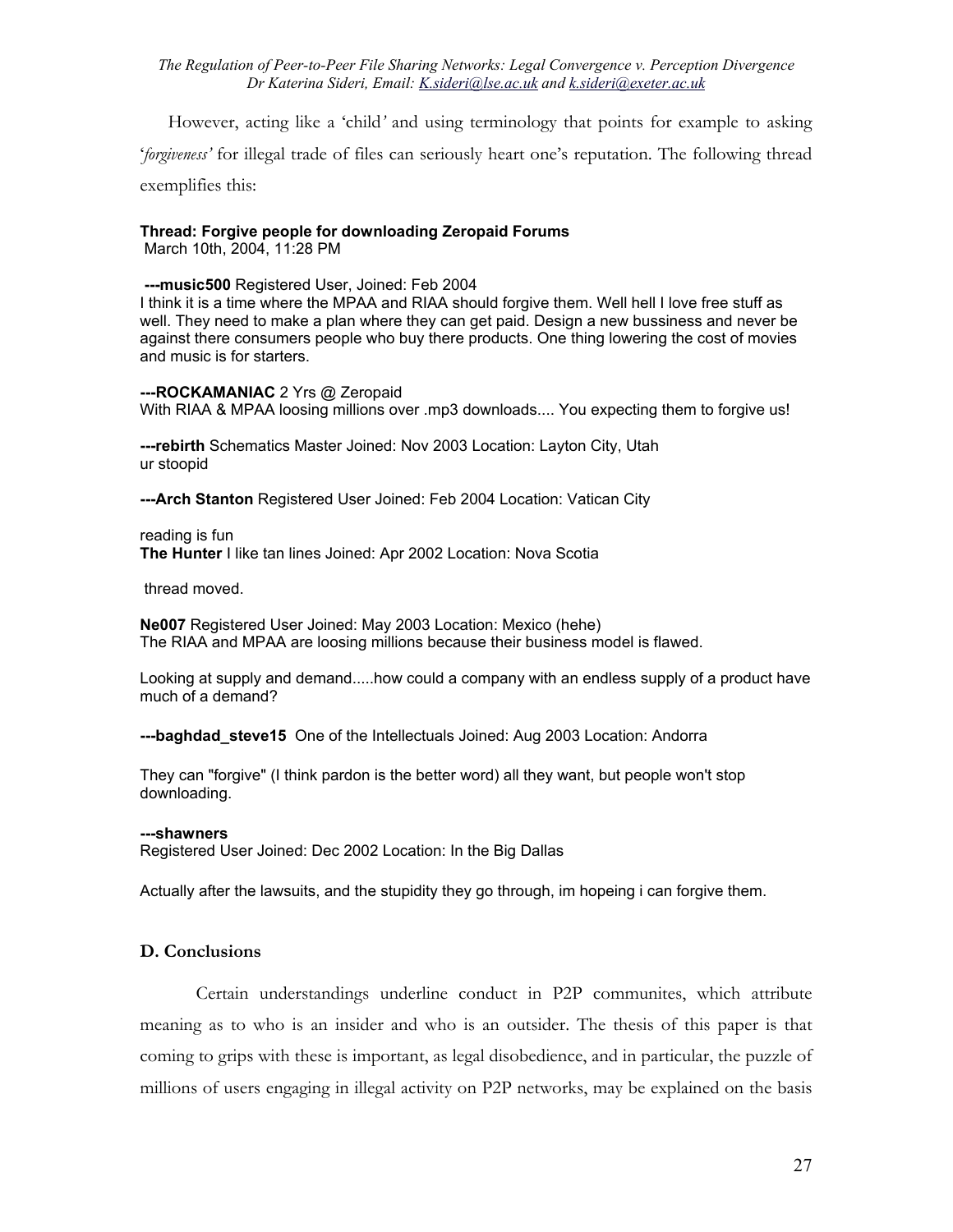However, acting like a 'child*'* and using terminology that points for example to asking '*forgiveness'* for illegal trade of files can seriously heart one's reputation. The following thread exemplifies this:

### **Thread: Forgive people for downloading Zeropaid Forums**

March 10th, 2004, 11:28 PM

 **---music500** Registered User, Joined: Feb 2004

I think it is a time where the MPAA and RIAA should forgive them. Well hell I love free stuff as well. They need to make a plan where they can get paid. Design a new bussiness and never be against there consumers people who buy there products. One thing lowering the cost of movies and music is for starters.

**---ROCKAMANIAC** 2 Yrs @ Zeropaid With RIAA & MPAA loosing millions over .mp3 downloads.... You expecting them to forgive us!

**---rebirth** Schematics Master Joined: Nov 2003 Location: Layton City, Utah ur stoopid

**---Arch Stanton** Registered User Joined: Feb 2004 Location: Vatican City

reading is fun **The Hunter** I like tan lines Joined: Apr 2002 Location: Nova Scotia

thread moved.

**Ne007** Registered User Joined: May 2003 Location: Mexico (hehe) The RIAA and MPAA are loosing millions because their business model is flawed.

Looking at supply and demand.....how could a company with an endless supply of a product have much of a demand?

**---baghdad\_steve15** One of the Intellectuals Joined: Aug 2003 Location: Andorra

They can "forgive" (I think pardon is the better word) all they want, but people won't stop downloading.

#### **---shawners**

Registered User Joined: Dec 2002 Location: In the Big Dallas

Actually after the lawsuits, and the stupidity they go through, im hopeing i can forgive them.

### **D. Conclusions**

Certain understandings underline conduct in P2P communites, which attribute meaning as to who is an insider and who is an outsider. The thesis of this paper is that coming to grips with these is important, as legal disobedience, and in particular, the puzzle of millions of users engaging in illegal activity on P2P networks, may be explained on the basis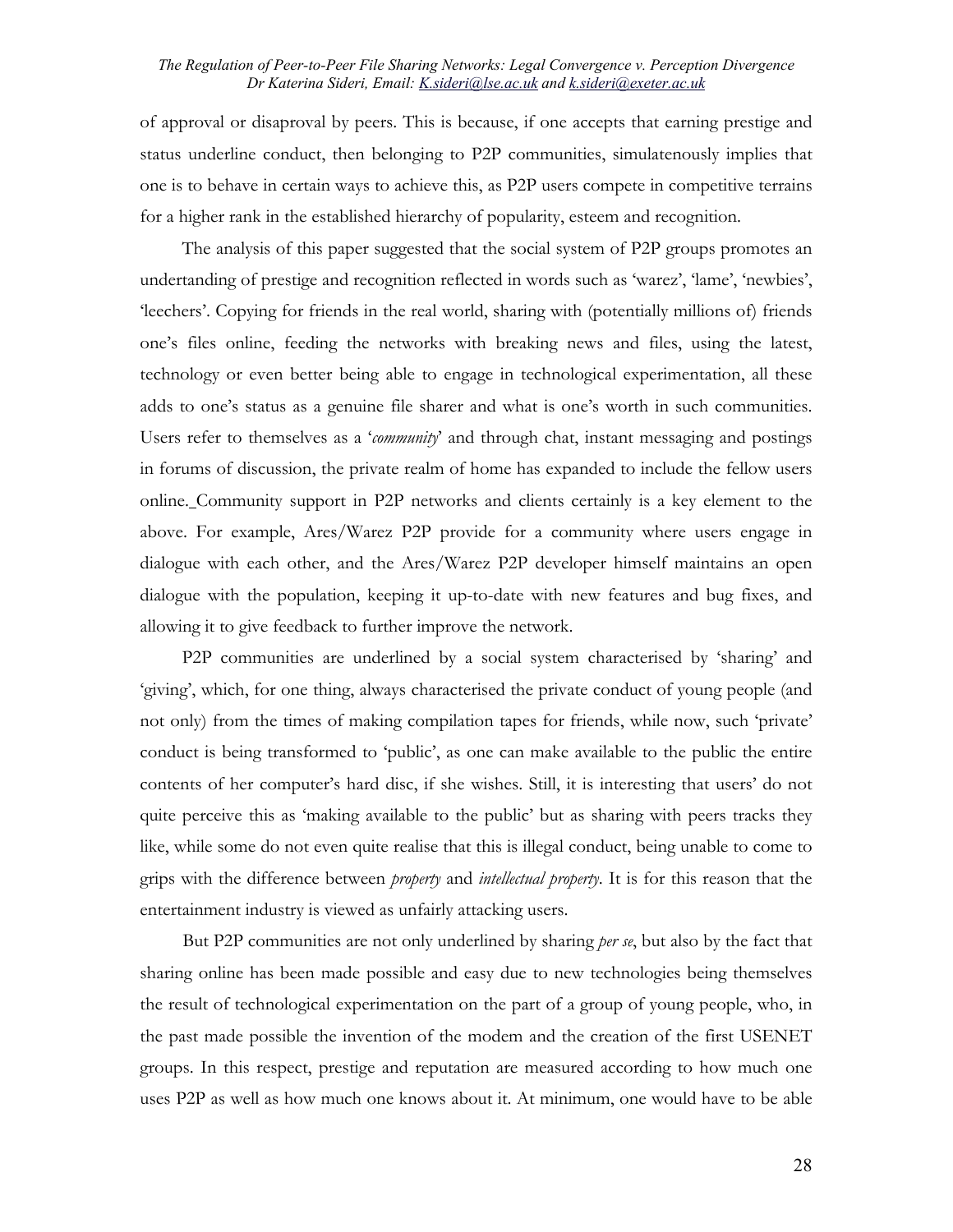of approval or disaproval by peers. This is because, if one accepts that earning prestige and status underline conduct, then belonging to P2P communities, simulatenously implies that one is to behave in certain ways to achieve this, as P2P users compete in competitive terrains for a higher rank in the established hierarchy of popularity, esteem and recognition.

The analysis of this paper suggested that the social system of P2P groups promotes an undertanding of prestige and recognition reflected in words such as 'warez', 'lame', 'newbies', 'leechers'. Copying for friends in the real world, sharing with (potentially millions of) friends one's files online, feeding the networks with breaking news and files, using the latest, technology or even better being able to engage in technological experimentation, all these adds to one's status as a genuine file sharer and what is one's worth in such communities. Users refer to themselves as a '*community*' and through chat, instant messaging and postings in forums of discussion, the private realm of home has expanded to include the fellow users online. Community support in P2P networks and clients certainly is a key element to the above. For example, Ares/Warez P2P provide for a community where users engage in dialogue with each other, and the Ares/Warez P2P developer himself maintains an open dialogue with the population, keeping it up-to-date with new features and bug fixes, and allowing it to give feedback to further improve the network.

P2P communities are underlined by a social system characterised by 'sharing' and 'giving', which, for one thing, always characterised the private conduct of young people (and not only) from the times of making compilation tapes for friends, while now, such 'private' conduct is being transformed to 'public', as one can make available to the public the entire contents of her computer's hard disc, if she wishes. Still, it is interesting that users' do not quite perceive this as 'making available to the public' but as sharing with peers tracks they like, while some do not even quite realise that this is illegal conduct, being unable to come to grips with the difference between *property* and *intellectual property*. It is for this reason that the entertainment industry is viewed as unfairly attacking users.

But P2P communities are not only underlined by sharing *per se*, but also by the fact that sharing online has been made possible and easy due to new technologies being themselves the result of technological experimentation on the part of a group of young people, who, in the past made possible the invention of the modem and the creation of the first USENET groups. In this respect, prestige and reputation are measured according to how much one uses P2P as well as how much one knows about it. At minimum, one would have to be able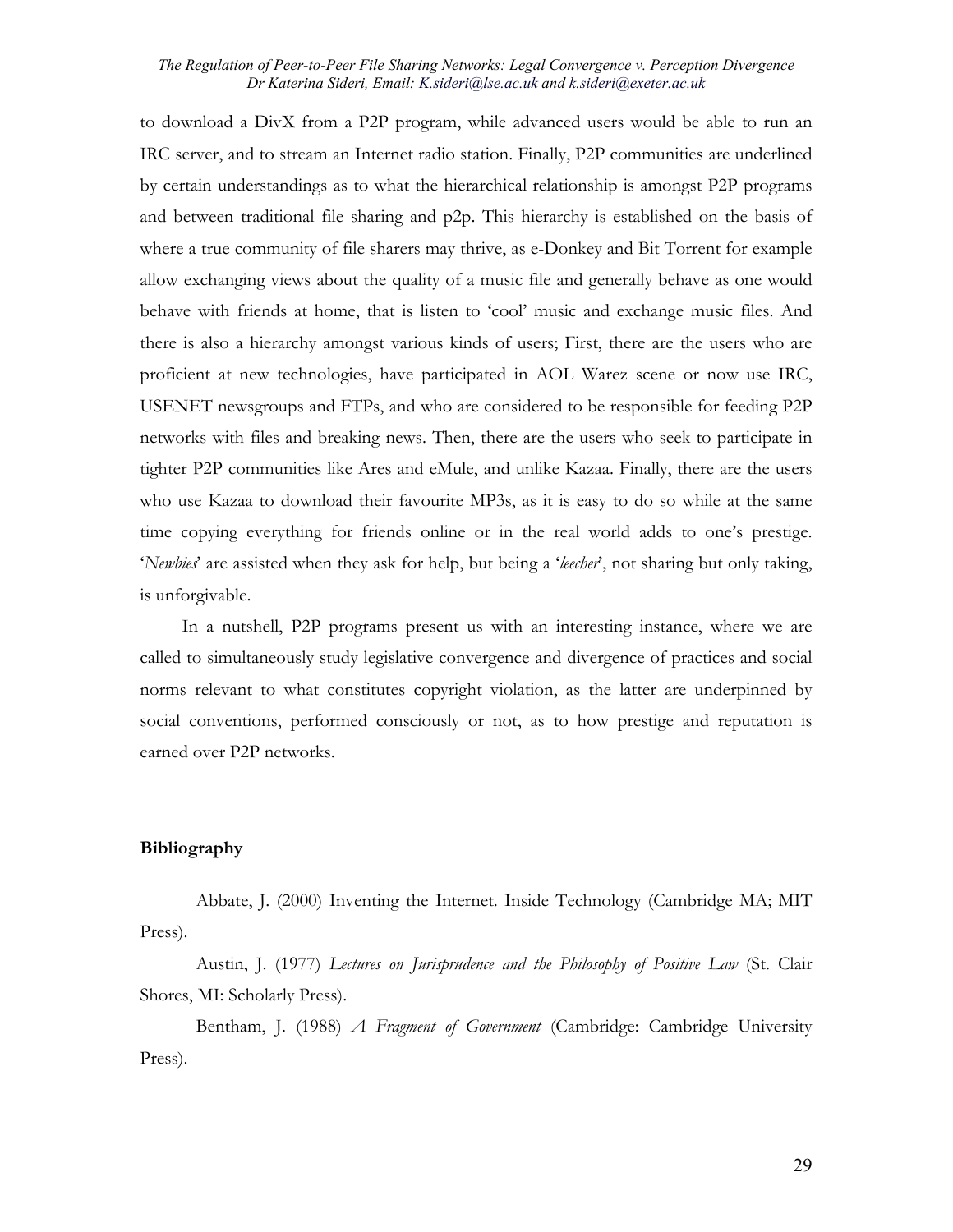to download a DivX from a P2P program, while advanced users would be able to run an IRC server, and to stream an Internet radio station. Finally, P2P communities are underlined by certain understandings as to what the hierarchical relationship is amongst P2P programs and between traditional file sharing and p2p. This hierarchy is established on the basis of where a true community of file sharers may thrive, as e-Donkey and Bit Torrent for example allow exchanging views about the quality of a music file and generally behave as one would behave with friends at home, that is listen to 'cool' music and exchange music files. And there is also a hierarchy amongst various kinds of users; First, there are the users who are proficient at new technologies, have participated in AOL Warez scene or now use IRC, USENET newsgroups and FTPs, and who are considered to be responsible for feeding P2P networks with files and breaking news. Then, there are the users who seek to participate in tighter P2P communities like Ares and eMule, and unlike Kazaa. Finally, there are the users who use Kazaa to download their favourite MP3s, as it is easy to do so while at the same time copying everything for friends online or in the real world adds to one's prestige. '*Newbies*' are assisted when they ask for help, but being a '*leecher*', not sharing but only taking, is unforgivable.

In a nutshell, P2P programs present us with an interesting instance, where we are called to simultaneously study legislative convergence and divergence of practices and social norms relevant to what constitutes copyright violation, as the latter are underpinned by social conventions, performed consciously or not, as to how prestige and reputation is earned over P2P networks.

### **Bibliography**

Abbate, J. (2000) Inventing the Internet. Inside Technology (Cambridge MA; MIT Press).

Austin, J. (1977) *Lectures on Jurisprudence and the Philosophy of Positive Law* (St. Clair Shores, MI: Scholarly Press).

Bentham, J. (1988) *A Fragment of Government* (Cambridge: Cambridge University Press).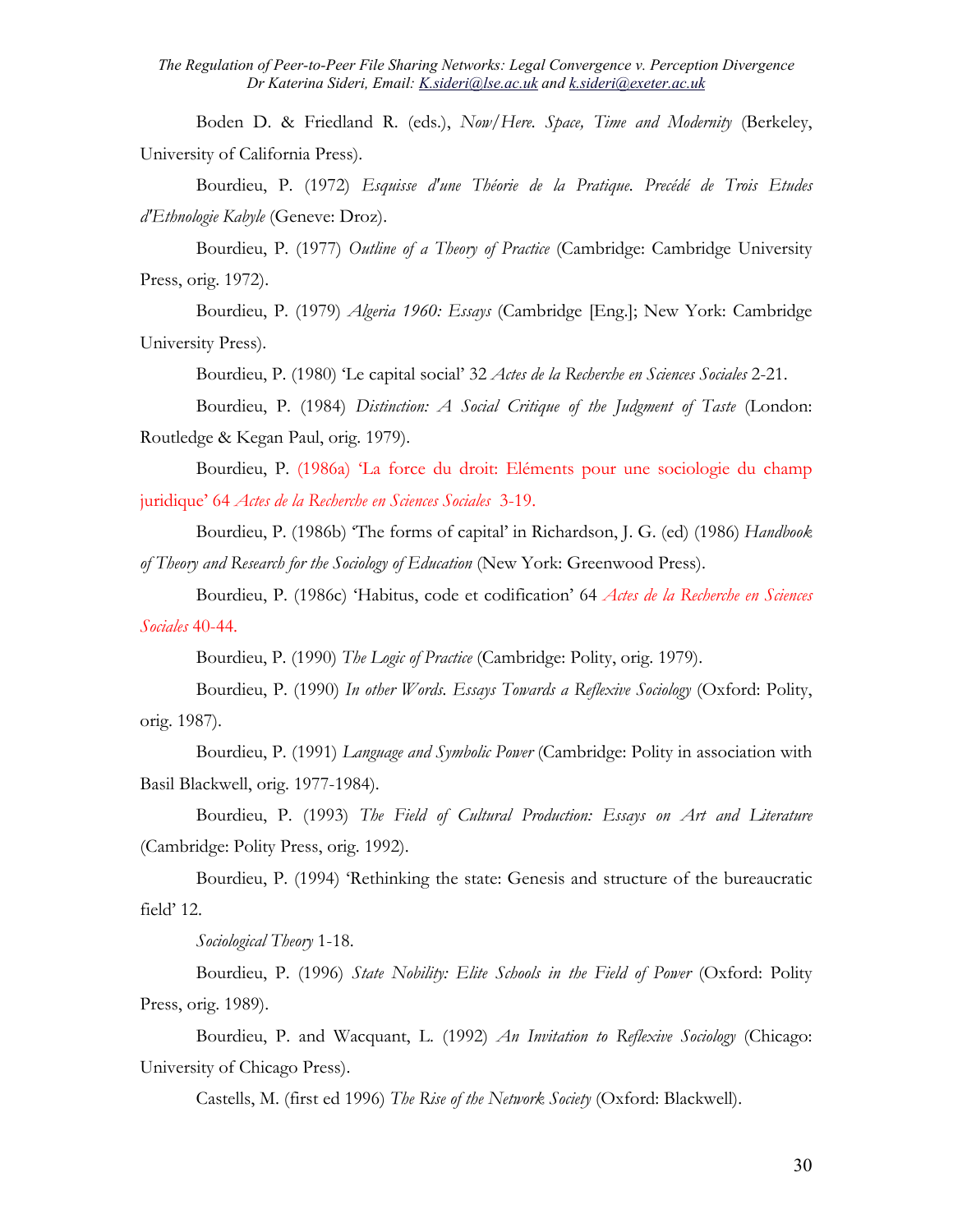Boden D. & Friedland R. (eds.), *Now/Here. Space, Time and Modernity* (Berkeley, University of California Press).

Bourdieu, P. (1972) *Esquisse d'une Théorie de la Pratique. Precédé de Trois Etudes d'Ethnologie Kabyle* (Geneve: Droz).

Bourdieu, P. (1977) *Outline of a Theory of Practice* (Cambridge: Cambridge University Press, orig. 1972).

Bourdieu, P. (1979) *Algeria 1960: Essays* (Cambridge [Eng.]; New York: Cambridge University Press).

Bourdieu, P. (1980) 'Le capital social' 32 *Actes de la Recherche en Sciences Sociales* 2-21.

Bourdieu, P. (1984) *Distinction: A Social Critique of the Judgment of Taste* (London: Routledge & Kegan Paul, orig. 1979).

Bourdieu, P. (1986a) 'La force du droit: Eléments pour une sociologie du champ juridique' 64 *Actes de la Recherche en Sciences Sociales* 3-19.

Bourdieu, P. (1986b) 'The forms of capital' in Richardson, J. G. (ed) (1986) *Handbook of Theory and Research for the Sociology of Education* (New York: Greenwood Press).

Bourdieu, P. (1986c) 'Habitus, code et codification' 64 *Actes de la Recherche en Sciences Sociales* 40-44.

Bourdieu, P. (1990) *The Logic of Practice* (Cambridge: Polity, orig. 1979).

Bourdieu, P. (1990) *In other Words. Essays Towards a Reflexive Sociology* (Oxford: Polity, orig. 1987).

Bourdieu, P. (1991) *Language and Symbolic Power* (Cambridge: Polity in association with Basil Blackwell, orig. 1977-1984).

Bourdieu, P. (1993) *The Field of Cultural Production: Essays on Art and Literature*  (Cambridge: Polity Press, orig. 1992).

Bourdieu, P. (1994) 'Rethinking the state: Genesis and structure of the bureaucratic field' 12.

*Sociological Theory* 1-18.

Bourdieu, P. (1996) *State Nobility: Elite Schools in the Field of Power* (Oxford: Polity Press, orig. 1989).

Bourdieu, P. and Wacquant, L. (1992) *An Invitation to Reflexive Sociology* (Chicago: University of Chicago Press).

Castells, M. (first ed 1996) *The Rise of the Network Society* (Oxford: Blackwell).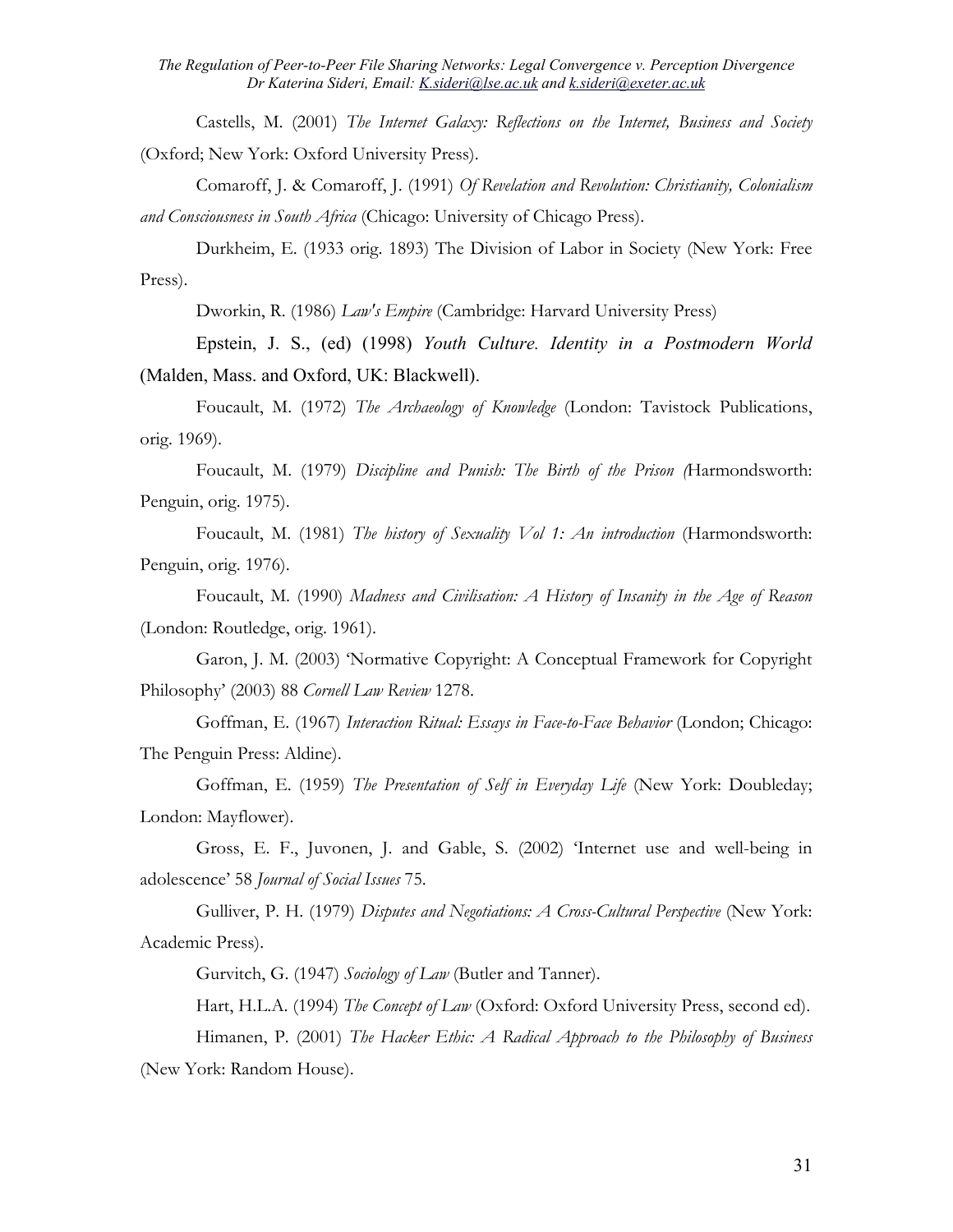Castells, M. (2001) *The Internet Galaxy: Reflections on the Internet, Business and Society* (Oxford; New York: Oxford University Press).

Comaroff, J. & Comaroff, J. (1991) *Of Revelation and Revolution: Christianity, Colonialism and Consciousness in South Africa* (Chicago: University of Chicago Press).

Durkheim, E. (1933 orig. 1893) The Division of Labor in Society (New York: Free Press).

Dworkin, R. (1986) *Law's Empire* (Cambridge: Harvard University Press)

Epstein, J. S., (ed) (1998) *Youth Culture. Identity in a Postmodern World* (Malden, Mass. and Oxford, UK: Blackwell).

Foucault, M. (1972) *The Archaeology of Knowledge* (London: Tavistock Publications, orig. 1969).

Foucault, M. (1979) *Discipline and Punish: The Birth of the Prison (*Harmondsworth: Penguin, orig. 1975).

Foucault, M. (1981) *The history of Sexuality Vol 1: An introduction* (Harmondsworth: Penguin, orig. 1976).

Foucault, M. (1990) *Madness and Civilisation: A History of Insanity in the Age of Reason* (London: Routledge, orig. 1961).

Garon, J. M. (2003) 'Normative Copyright: A Conceptual Framework for Copyright Philosophy' (2003) 88 *Cornell Law Review* 1278.

Goffman, E. (1967) *Interaction Ritual: Essays in Face-to-Face Behavior* (London; Chicago: The Penguin Press: Aldine).

Goffman, E. (1959) *The Presentation of Self in Everyday Life* (New York: Doubleday; London: Mayflower).

Gross, E. F., Juvonen, J. and Gable, S. (2002) 'Internet use and well-being in adolescence' 58 *Journal of Social Issues* 75.

Gulliver, P. H. (1979) *Disputes and Negotiations: A Cross-Cultural Perspective* (New York: Academic Press).

Gurvitch, G. (1947) *Sociology of Law* (Butler and Tanner).

Hart, H.L.A. (1994) *The Concept of Law* (Oxford: Oxford University Press, second ed).

Himanen, P. (2001) *The Hacker Ethic: A Radical Approach to the Philosophy of Business*  (New York: Random House).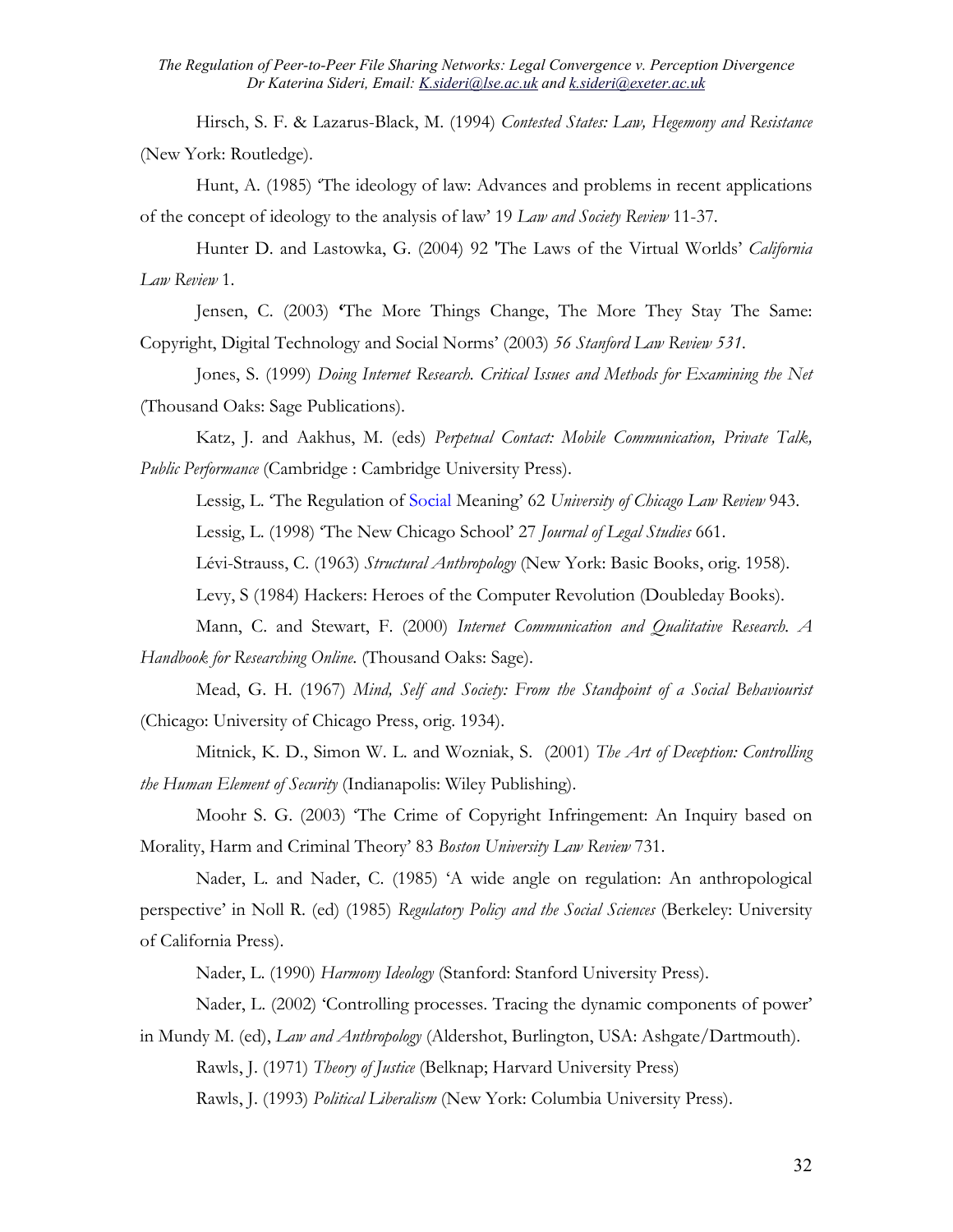Hirsch, S. F. & Lazarus-Black, M. (1994) *Contested States: Law, Hegemony and Resistance* (New York: Routledge).

Hunt, A. (1985) 'The ideology of law: Advances and problems in recent applications of the concept of ideology to the analysis of law' 19 *Law and Society Review* 11-37.

Hunter D. and Lastowka, G. (2004) 92 'The Laws of the Virtual Worlds' *California Law Review* 1.

Jensen, C. (2003) **'**The More Things Change, The More They Stay The Same: Copyright, Digital Technology and Social Norms' (2003) *56 Stanford Law Review 531.* 

Jones, S. (1999) *Doing Internet Research. Critical Issues and Methods for Examining the Net* (Thousand Oaks: Sage Publications).

Katz, J. and Aakhus, M. (eds) *Perpetual Contact: Mobile Communication, Private Talk, Public Performance* (Cambridge : Cambridge University Press).

Lessig, L. 'The Regulation of Social Meaning' 62 *University of Chicago Law Review* 943.

Lessig, L. (1998) 'The New Chicago School' 27 *Journal of Legal Studies* 661.

Lévi-Strauss, C. (1963) *Structural Anthropology* (New York: Basic Books, orig. 1958).

Levy, S (1984) Hackers: Heroes of the Computer Revolution (Doubleday Books).

Mann, C. and Stewart, F. (2000) *Internet Communication and Qualitative Research. A Handbook for Researching Online*. (Thousand Oaks: Sage).

Mead, G. H. (1967) *Mind, Self and Society: From the Standpoint of a Social Behaviourist*  (Chicago: University of Chicago Press, orig. 1934).

Mitnick, K. D., Simon W. L. and Wozniak, S. (2001) *The Art of Deception: Controlling the Human Element of Security* (Indianapolis: Wiley Publishing).

Moohr S. G. (2003) 'The Crime of Copyright Infringement: An Inquiry based on Morality, Harm and Criminal Theory' 83 *Boston University Law Review* 731.

Nader, L. and Nader, C. (1985) 'A wide angle on regulation: An anthropological perspective' in Noll R. (ed) (1985) *Regulatory Policy and the Social Sciences* (Berkeley: University of California Press).

Nader, L. (1990) *Harmony Ideology* (Stanford: Stanford University Press).

Nader, L. (2002) 'Controlling processes. Tracing the dynamic components of power' in Mundy M. (ed), *Law and Anthropology* (Aldershot, Burlington, USA: Ashgate/Dartmouth).

Rawls, J. (1971) *Theory of Justice* (Belknap; Harvard University Press)

Rawls, J. (1993) *Political Liberalism* (New York: Columbia University Press).